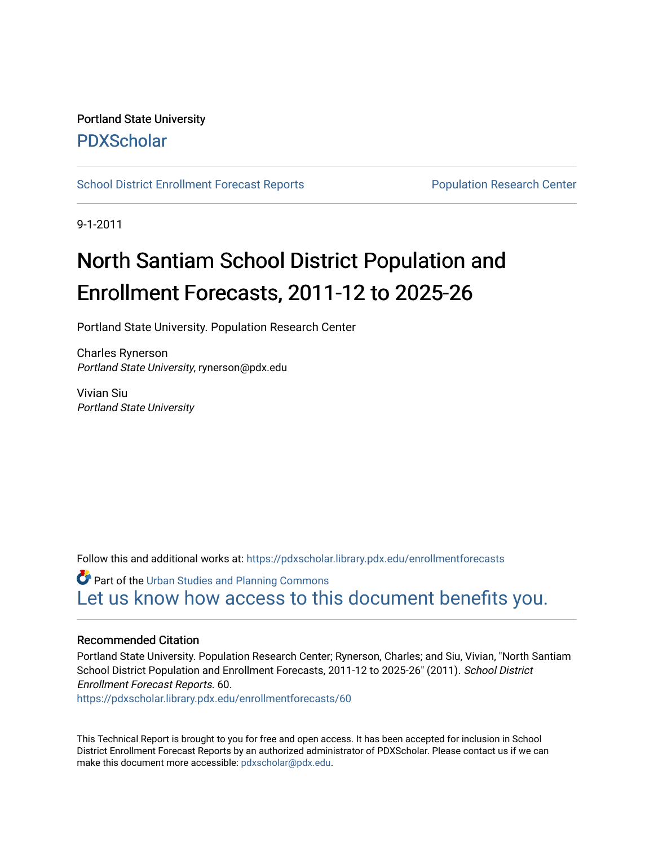### Portland State University [PDXScholar](https://pdxscholar.library.pdx.edu/)

[School District Enrollment Forecast Reports](https://pdxscholar.library.pdx.edu/enrollmentforecasts) **Population Research Center** Population Research Center

9-1-2011

# North Santiam School District Population and Enrollment Forecasts, 2011-12 to 2025-26

Portland State University. Population Research Center

Charles Rynerson Portland State University, rynerson@pdx.edu

Vivian Siu Portland State University

Follow this and additional works at: [https://pdxscholar.library.pdx.edu/enrollmentforecasts](https://pdxscholar.library.pdx.edu/enrollmentforecasts?utm_source=pdxscholar.library.pdx.edu%2Fenrollmentforecasts%2F60&utm_medium=PDF&utm_campaign=PDFCoverPages) 

**Part of the [Urban Studies and Planning Commons](http://network.bepress.com/hgg/discipline/436?utm_source=pdxscholar.library.pdx.edu%2Fenrollmentforecasts%2F60&utm_medium=PDF&utm_campaign=PDFCoverPages)** [Let us know how access to this document benefits you.](http://library.pdx.edu/services/pdxscholar-services/pdxscholar-feedback/?ref=https://pdxscholar.library.pdx.edu/enrollmentforecasts/60) 

#### Recommended Citation

Portland State University. Population Research Center; Rynerson, Charles; and Siu, Vivian, "North Santiam School District Population and Enrollment Forecasts, 2011-12 to 2025-26" (2011). School District Enrollment Forecast Reports. 60.

[https://pdxscholar.library.pdx.edu/enrollmentforecasts/60](https://pdxscholar.library.pdx.edu/enrollmentforecasts/60?utm_source=pdxscholar.library.pdx.edu%2Fenrollmentforecasts%2F60&utm_medium=PDF&utm_campaign=PDFCoverPages)

This Technical Report is brought to you for free and open access. It has been accepted for inclusion in School District Enrollment Forecast Reports by an authorized administrator of PDXScholar. Please contact us if we can make this document more accessible: [pdxscholar@pdx.edu.](mailto:pdxscholar@pdx.edu)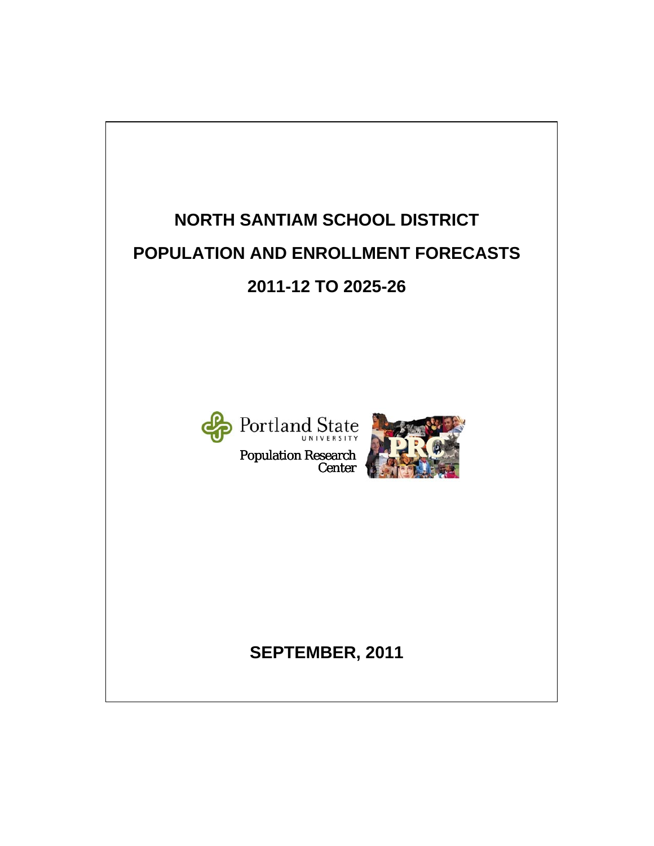# **NORTH SANTIAM SCHOOL DISTRICT POPULATION AND ENROLLMENT FORECASTS 2011-12 TO 2025-26**



Population Research Center



# **SEPTEMBER, 2011**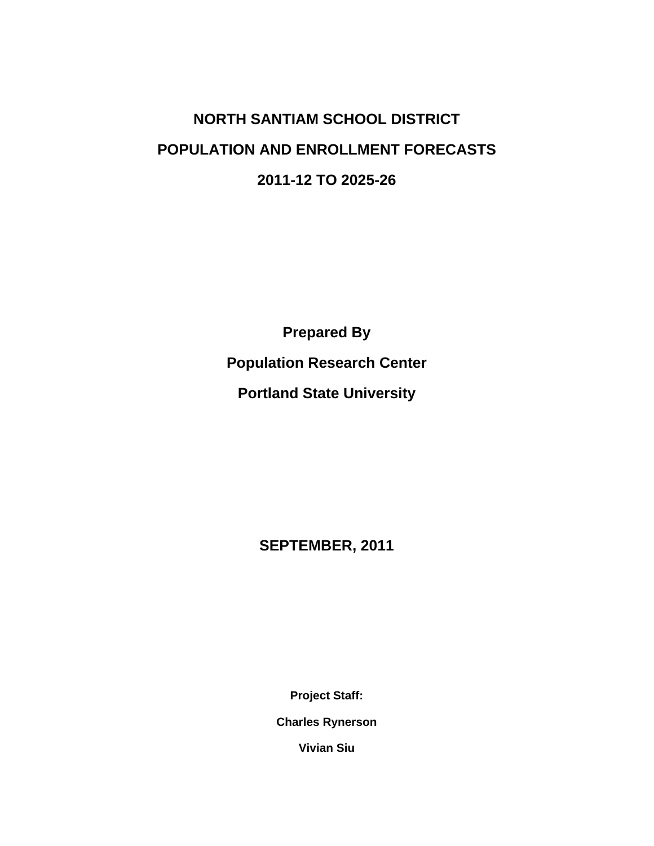# **NORTH SANTIAM SCHOOL DISTRICT POPULATION AND ENROLLMENT FORECASTS 2011-12 TO 2025-26**

**Prepared By Population Research Center Portland State University** 

**SEPTEMBER, 2011** 

**Project Staff:** 

**Charles Rynerson** 

**Vivian Siu**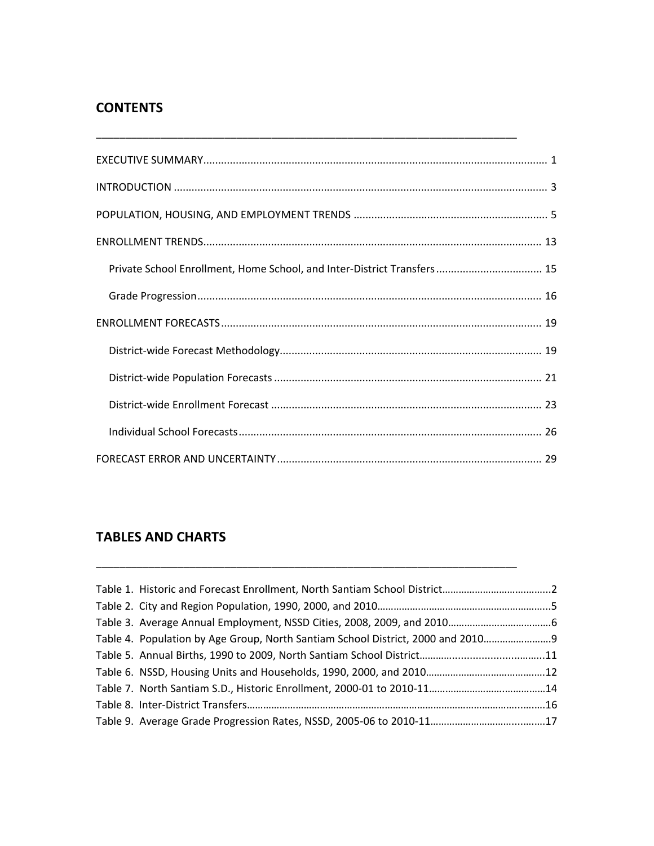### **CONTENTS**

| Private School Enrollment, Home School, and Inter-District Transfers 15 |
|-------------------------------------------------------------------------|
|                                                                         |
|                                                                         |
|                                                                         |
|                                                                         |
|                                                                         |
|                                                                         |
|                                                                         |

\_\_\_\_\_\_\_\_\_\_\_\_\_\_\_\_\_\_\_\_\_\_\_\_\_\_\_\_\_\_\_\_\_\_\_\_\_\_\_\_\_\_\_\_\_\_\_\_\_\_\_\_\_\_\_\_\_\_\_\_\_\_\_\_\_\_\_\_\_\_\_\_

### **TABLES AND CHARTS**

| Table 4. Population by Age Group, North Santiam School District, 2000 and 2010 |  |
|--------------------------------------------------------------------------------|--|
|                                                                                |  |
|                                                                                |  |
|                                                                                |  |
|                                                                                |  |
|                                                                                |  |

\_\_\_\_\_\_\_\_\_\_\_\_\_\_\_\_\_\_\_\_\_\_\_\_\_\_\_\_\_\_\_\_\_\_\_\_\_\_\_\_\_\_\_\_\_\_\_\_\_\_\_\_\_\_\_\_\_\_\_\_\_\_\_\_\_\_\_\_\_\_\_\_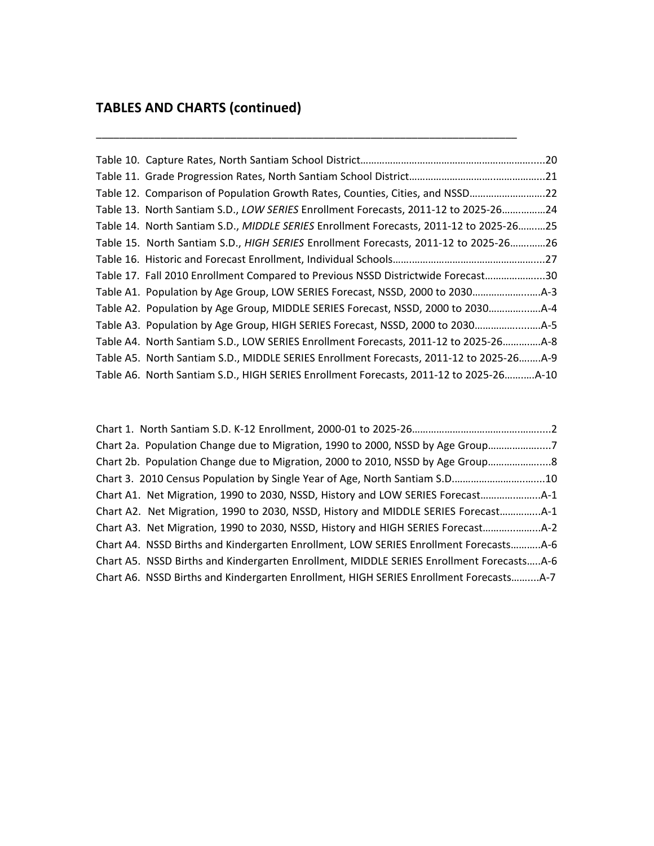# **TABLES AND CHARTS (continued)**

| Table 12. Comparison of Population Growth Rates, Counties, Cities, and NSSD22           |
|-----------------------------------------------------------------------------------------|
| Table 13. North Santiam S.D., LOW SERIES Enrollment Forecasts, 2011-12 to 2025-2624     |
| Table 14. North Santiam S.D., MIDDLE SERIES Enrollment Forecasts, 2011-12 to 2025-2625  |
| Table 15. North Santiam S.D., HIGH SERIES Enrollment Forecasts, 2011-12 to 2025-2626    |
|                                                                                         |
| Table 17. Fall 2010 Enrollment Compared to Previous NSSD Districtwide Forecast30        |
|                                                                                         |
| Table A2. Population by Age Group, MIDDLE SERIES Forecast, NSSD, 2000 to 2030           |
|                                                                                         |
| Table A4. North Santiam S.D., LOW SERIES Enrollment Forecasts, 2011-12 to 2025-26A-8    |
| Table A5. North Santiam S.D., MIDDLE SERIES Enrollment Forecasts, 2011-12 to 2025-26A-9 |
| Table A6. North Santiam S.D., HIGH SERIES Enrollment Forecasts, 2011-12 to 2025-26A-10  |

| Chart 2a. Population Change due to Migration, 1990 to 2000, NSSD by Age Group7           |
|------------------------------------------------------------------------------------------|
| Chart 2b. Population Change due to Migration, 2000 to 2010, NSSD by Age Group 8          |
|                                                                                          |
| Chart A1. Net Migration, 1990 to 2030, NSSD, History and LOW SERIES Forecast             |
| Chart A2. Net Migration, 1990 to 2030, NSSD, History and MIDDLE SERIES Forecast4-1       |
| Chart A3. Net Migration, 1990 to 2030, NSSD, History and HIGH SERIES Forecast            |
| Chart A4. NSSD Births and Kindergarten Enrollment, LOW SERIES Enrollment ForecastsA-6    |
| Chart A5. NSSD Births and Kindergarten Enrollment, MIDDLE SERIES Enrollment ForecastsA-6 |
| Chart A6. NSSD Births and Kindergarten Enrollment, HIGH SERIES Enrollment ForecastsA-7   |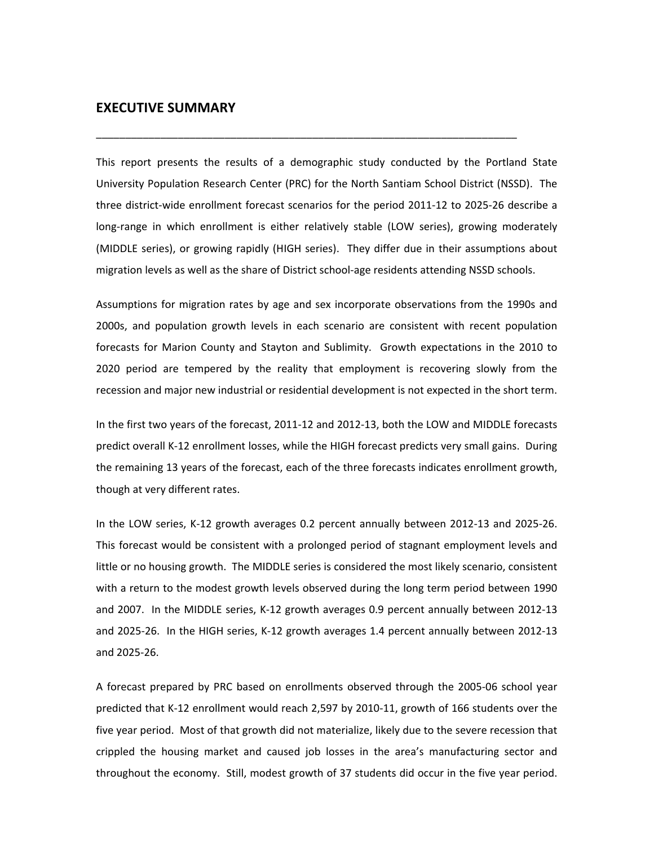#### **EXECUTIVE SUMMARY**

This report presents the results of a demographic study conducted by the Portland State University Population Research Center (PRC) for the North Santiam School District (NSSD). The three district‐wide enrollment forecast scenarios for the period 2011‐12 to 2025‐26 describe a long-range in which enrollment is either relatively stable (LOW series), growing moderately (MIDDLE series), or growing rapidly (HIGH series). They differ due in their assumptions about migration levels as well as the share of District school‐age residents attending NSSD schools.

\_\_\_\_\_\_\_\_\_\_\_\_\_\_\_\_\_\_\_\_\_\_\_\_\_\_\_\_\_\_\_\_\_\_\_\_\_\_\_\_\_\_\_\_\_\_\_\_\_\_\_\_\_\_\_\_\_\_\_\_\_\_\_\_\_\_\_\_\_\_\_\_

Assumptions for migration rates by age and sex incorporate observations from the 1990s and 2000s, and population growth levels in each scenario are consistent with recent population forecasts for Marion County and Stayton and Sublimity. Growth expectations in the 2010 to 2020 period are tempered by the reality that employment is recovering slowly from the recession and major new industrial or residential development is not expected in the short term.

In the first two years of the forecast, 2011‐12 and 2012‐13, both the LOW and MIDDLE forecasts predict overall K‐12 enrollment losses, while the HIGH forecast predicts very small gains. During the remaining 13 years of the forecast, each of the three forecasts indicates enrollment growth, though at very different rates.

In the LOW series, K‐12 growth averages 0.2 percent annually between 2012‐13 and 2025‐26. This forecast would be consistent with a prolonged period of stagnant employment levels and little or no housing growth. The MIDDLE series is considered the most likely scenario, consistent with a return to the modest growth levels observed during the long term period between 1990 and 2007. In the MIDDLE series, K‐12 growth averages 0.9 percent annually between 2012‐13 and 2025‐26. In the HIGH series, K‐12 growth averages 1.4 percent annually between 2012‐13 and 2025‐26.

A forecast prepared by PRC based on enrollments observed through the 2005‐06 school year predicted that K‐12 enrollment would reach 2,597 by 2010‐11, growth of 166 students over the five year period. Most of that growth did not materialize, likely due to the severe recession that crippled the housing market and caused job losses in the area's manufacturing sector and throughout the economy. Still, modest growth of 37 students did occur in the five year period.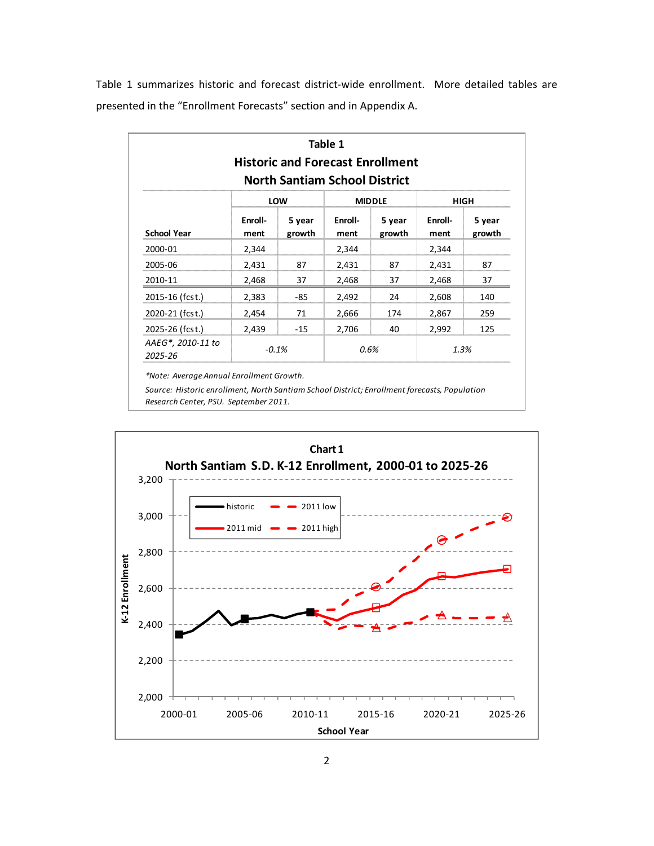Table 1 summarizes historic and forecast district-wide enrollment. More detailed tables are presented in the "Enrollment Forecasts" section and in Appendix A.

|                              |                 | <b>North Santiam School District</b> | Table 1         | <b>Historic and Forecast Enrollment</b> |                 |                  |
|------------------------------|-----------------|--------------------------------------|-----------------|-----------------------------------------|-----------------|------------------|
|                              |                 | LOW                                  |                 | <b>MIDDLE</b>                           |                 | HIGH             |
| <b>School Year</b>           | Enroll-<br>ment | 5 year<br>growth                     | Enroll-<br>ment | 5 year<br>growth                        | Enroll-<br>ment | 5 year<br>growth |
| 2000-01                      | 2,344           |                                      | 2,344           |                                         | 2,344           |                  |
| 2005-06                      | 2,431           | 87                                   | 2,431           | 87                                      | 2,431           | 87               |
| 2010-11                      | 2,468           | 37                                   | 2,468           | 37                                      | 2,468           | 37               |
| 2015-16 (fcst.)              | 2,383           | -85                                  | 2,492           | 24                                      | 2,608           | 140              |
| 2020-21 (fcst.)              | 2,454           | 71                                   | 2,666           | 174                                     | 2,867           | 259              |
| 2025-26 (fcst.)              | 2,439           | -15                                  | 2,706           | 40                                      | 2,992           | 125              |
| AAEG*, 2010-11 to<br>2025-26 |                 | $-0.1%$                              | 0.6%            |                                         |                 | 1.3%             |

*\*Note: Average Annual Enrollment Growth.*

*Source: Historic enrollment, North Santiam School District; Enrollment forecasts, Population Research Center, PSU. September 2011.*

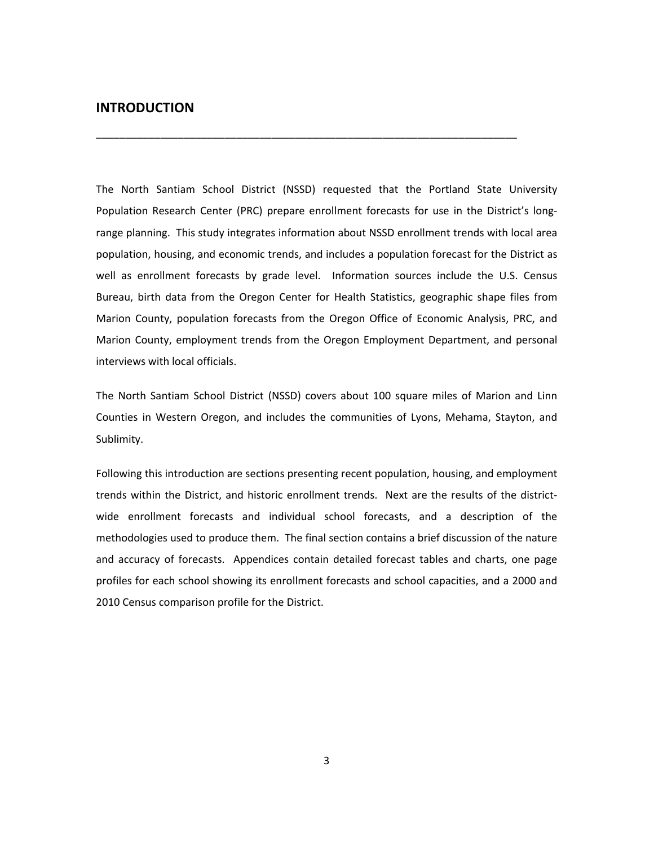#### **INTRODUCTION**

The North Santiam School District (NSSD) requested that the Portland State University Population Research Center (PRC) prepare enrollment forecasts for use in the District's long‐ range planning. This study integrates information about NSSD enrollment trends with local area population, housing, and economic trends, and includes a population forecast for the District as well as enrollment forecasts by grade level. Information sources include the U.S. Census Bureau, birth data from the Oregon Center for Health Statistics, geographic shape files from Marion County, population forecasts from the Oregon Office of Economic Analysis, PRC, and Marion County, employment trends from the Oregon Employment Department, and personal interviews with local officials.

\_\_\_\_\_\_\_\_\_\_\_\_\_\_\_\_\_\_\_\_\_\_\_\_\_\_\_\_\_\_\_\_\_\_\_\_\_\_\_\_\_\_\_\_\_\_\_\_\_\_\_\_\_\_\_\_\_\_\_\_\_\_\_\_\_\_\_\_\_\_\_\_

The North Santiam School District (NSSD) covers about 100 square miles of Marion and Linn Counties in Western Oregon, and includes the communities of Lyons, Mehama, Stayton, and Sublimity.

Following this introduction are sections presenting recent population, housing, and employment trends within the District, and historic enrollment trends. Next are the results of the districtwide enrollment forecasts and individual school forecasts, and a description of the methodologies used to produce them. The final section contains a brief discussion of the nature and accuracy of forecasts. Appendices contain detailed forecast tables and charts, one page profiles for each school showing its enrollment forecasts and school capacities, and a 2000 and 2010 Census comparison profile for the District.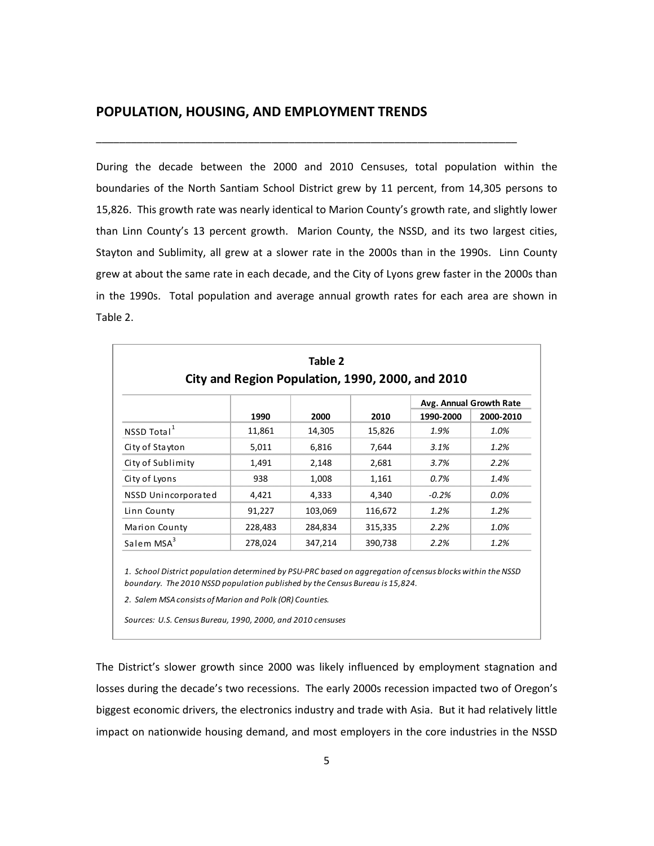#### **POPULATION, HOUSING, AND EMPLOYMENT TRENDS**

During the decade between the 2000 and 2010 Censuses, total population within the boundaries of the North Santiam School District grew by 11 percent, from 14,305 persons to 15,826. This growth rate was nearly identical to Marion County's growth rate, and slightly lower than Linn County's 13 percent growth. Marion County, the NSSD, and its two largest cities, Stayton and Sublimity, all grew at a slower rate in the 2000s than in the 1990s. Linn County grew at about the same rate in each decade, and the City of Lyons grew faster in the 2000s than in the 1990s. Total population and average annual growth rates for each area are shown in Table 2.

\_\_\_\_\_\_\_\_\_\_\_\_\_\_\_\_\_\_\_\_\_\_\_\_\_\_\_\_\_\_\_\_\_\_\_\_\_\_\_\_\_\_\_\_\_\_\_\_\_\_\_\_\_\_\_\_\_\_\_\_\_\_\_\_\_\_\_\_\_\_\_\_

|                         | City and Region Population, 1990, 2000, and 2010 | Table 2 |         |           |                         |
|-------------------------|--------------------------------------------------|---------|---------|-----------|-------------------------|
|                         |                                                  |         |         |           | Avg. Annual Growth Rate |
|                         | 1990                                             | 2000    | 2010    | 1990-2000 | 2000-2010               |
| NSSD Total <sup>1</sup> | 11,861                                           | 14,305  | 15,826  | 1.9%      | 1.0%                    |
| City of Stayton         | 5,011                                            | 6,816   | 7,644   | 3.1%      | 1.2%                    |
| City of Sublimity       | 1,491                                            | 2,148   | 2,681   | 3.7%      | 2.2%                    |
| City of Lyons           | 938                                              | 1,008   | 1,161   | 0.7%      | 1.4%                    |
| NSSD Unincorporated     | 4,421                                            | 4,333   | 4,340   | $-0.2\%$  | $0.0\%$                 |
| Linn County             | 91,227                                           | 103,069 | 116,672 | 1.2%      | 1.2%                    |
| Marion County           | 228,483                                          | 284,834 | 315,335 | 2.2%      | 1.0%                    |
| Salem MSA <sup>3</sup>  | 278,024                                          | 347,214 | 390,738 | 2.2%      | 1.2%                    |

1. School District population determined by PSU-PRC based on aggregation of census blocks within the NSSD *boundary. The 2010 NSSD population published by the Census Bureau is 15,824.*

*2. Salem MSA consists of Marion and Polk (OR) Counties.*

*Sources: U.S. Census Bureau, 1990, 2000, and 2010 censuses*

The District's slower growth since 2000 was likely influenced by employment stagnation and losses during the decade's two recessions. The early 2000s recession impacted two of Oregon's biggest economic drivers, the electronics industry and trade with Asia. But it had relatively little impact on nationwide housing demand, and most employers in the core industries in the NSSD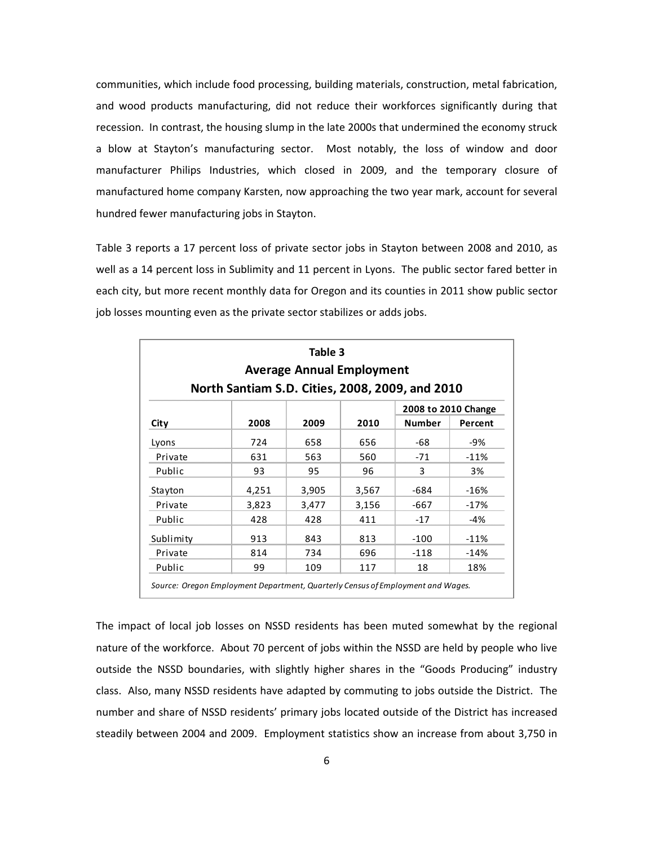communities, which include food processing, building materials, construction, metal fabrication, and wood products manufacturing, did not reduce their workforces significantly during that recession. In contrast, the housing slump in the late 2000s that undermined the economy struck a blow at Stayton's manufacturing sector. Most notably, the loss of window and door manufacturer Philips Industries, which closed in 2009, and the temporary closure of manufactured home company Karsten, now approaching the two year mark, account for several hundred fewer manufacturing jobs in Stayton.

Table 3 reports a 17 percent loss of private sector jobs in Stayton between 2008 and 2010, as well as a 14 percent loss in Sublimity and 11 percent in Lyons. The public sector fared better in each city, but more recent monthly data for Oregon and its counties in 2011 show public sector job losses mounting even as the private sector stabilizes or adds jobs.

|           | North Santiam S.D. Cities, 2008, 2009, and 2010 | Table 3<br><b>Average Annual Employment</b> |       |                     |         |
|-----------|-------------------------------------------------|---------------------------------------------|-------|---------------------|---------|
|           |                                                 |                                             |       | 2008 to 2010 Change |         |
| City      | 2008                                            | 2009                                        | 2010  | <b>Number</b>       | Percent |
| Lyons     | 724                                             | 658                                         | 656   | -68                 | -9%     |
| Private   | 631                                             | 563                                         | 560   | $-71$               | $-11%$  |
| Public    | 93                                              | 95                                          | 96    | 3                   | 3%      |
| Stayton   | 4,251                                           | 3,905                                       | 3,567 | -684                | $-16%$  |
| Private   | 3,823                                           | 3,477                                       | 3,156 | -667                | $-17%$  |
| Public    | 428                                             | 428                                         | 411   | $-17$               | $-4%$   |
| Sublimity | 913                                             | 843                                         | 813   | $-100$              | $-11%$  |
| Private   | 814                                             | 734                                         | 696   | $-118$              | $-14%$  |
| Public    | 99                                              | 109                                         | 117   | 18                  | 18%     |

The impact of local job losses on NSSD residents has been muted somewhat by the regional nature of the workforce. About 70 percent of jobs within the NSSD are held by people who live outside the NSSD boundaries, with slightly higher shares in the "Goods Producing" industry class. Also, many NSSD residents have adapted by commuting to jobs outside the District. The number and share of NSSD residents' primary jobs located outside of the District has increased steadily between 2004 and 2009. Employment statistics show an increase from about 3,750 in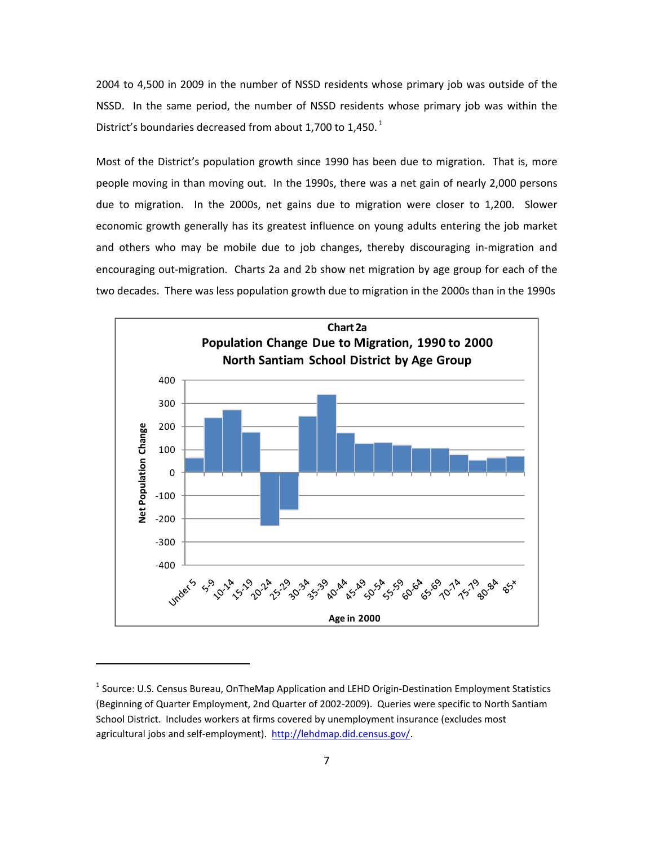2004 to 4,500 in 2009 in the number of NSSD residents whose primary job was outside of the NSSD. In the same period, the number of NSSD residents whose primary job was within the District's boundaries decreased from about 1,700 to 1,450. $^1$ 

Most of the District's population growth since 1990 has been due to migration. That is, more people moving in than moving out. In the 1990s, there was a net gain of nearly 2,000 persons due to migration. In the 2000s, net gains due to migration were closer to 1,200. Slower economic growth generally has its greatest influence on young adults entering the job market and others who may be mobile due to job changes, thereby discouraging in‐migration and encouraging out-migration. Charts 2a and 2b show net migration by age group for each of the two decades. There was less population growth due to migration in the 2000s than in the 1990s



<sup>&</sup>lt;sup>1</sup> Source: U.S. Census Bureau, OnTheMap Application and LEHD Origin-Destination Employment Statistics (Beginning of Quarter Employment, 2nd Quarter of 2002‐2009). Queries were specific to North Santiam School District. Includes workers at firms covered by unemployment insurance (excludes most agricultural jobs and self-employment). http://lehdmap.did.census.gov/.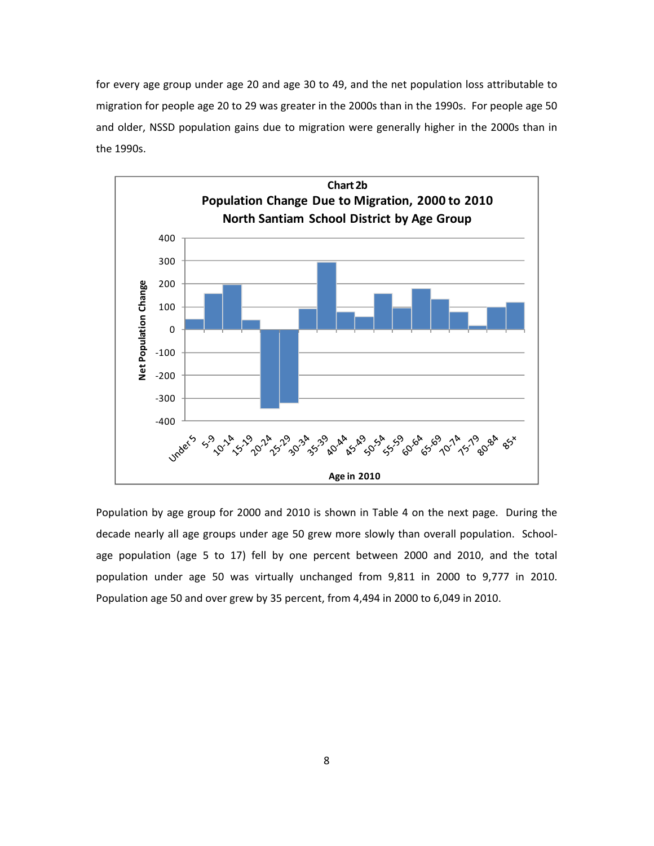for every age group under age 20 and age 30 to 49, and the net population loss attributable to migration for people age 20 to 29 was greater in the 2000s than in the 1990s. For people age 50 and older, NSSD population gains due to migration were generally higher in the 2000s than in the 1990s.



Population by age group for 2000 and 2010 is shown in Table 4 on the next page. During the decade nearly all age groups under age 50 grew more slowly than overall population. School‐ age population (age 5 to 17) fell by one percent between 2000 and 2010, and the total population under age 50 was virtually unchanged from 9,811 in 2000 to 9,777 in 2010. Population age 50 and over grew by 35 percent, from 4,494 in 2000 to 6,049 in 2010.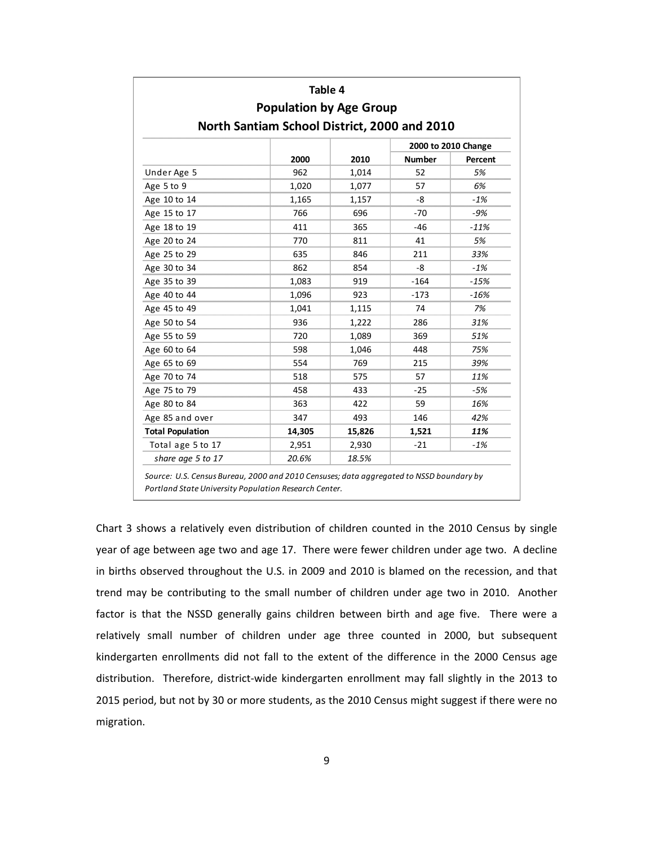|                         | Table 4                                      |        |               |         |  |  |  |  |
|-------------------------|----------------------------------------------|--------|---------------|---------|--|--|--|--|
|                         | <b>Population by Age Group</b>               |        |               |         |  |  |  |  |
|                         | North Santiam School District, 2000 and 2010 |        |               |         |  |  |  |  |
| 2000 to 2010 Change     |                                              |        |               |         |  |  |  |  |
|                         | 2000                                         | 2010   | <b>Number</b> | Percent |  |  |  |  |
| Under Age 5             | 962                                          | 1,014  | 52            | 5%      |  |  |  |  |
| Age 5 to 9              | 1,020                                        | 1,077  | 57            | 6%      |  |  |  |  |
| Age 10 to 14            | 1,165                                        | 1,157  | -8            | $-1%$   |  |  |  |  |
| Age 15 to 17            | 766                                          | 696    | $-70$         | $-9%$   |  |  |  |  |
| Age 18 to 19            | 411                                          | 365    | $-46$         | $-11%$  |  |  |  |  |
| Age 20 to 24            | 770                                          | 811    | 41            | 5%      |  |  |  |  |
| Age 25 to 29            | 635                                          | 846    | 211           | 33%     |  |  |  |  |
| Age 30 to 34            | 862                                          | 854    | -8            | $-1%$   |  |  |  |  |
| Age 35 to 39            | 1,083                                        | 919    | $-164$        | $-15%$  |  |  |  |  |
| Age 40 to 44            | 1,096                                        | 923    | $-173$        | $-16%$  |  |  |  |  |
| Age 45 to 49            | 1,041                                        | 1,115  | 74            | 7%      |  |  |  |  |
| Age 50 to 54            | 936                                          | 1,222  | 286           | 31%     |  |  |  |  |
| Age 55 to 59            | 720                                          | 1,089  | 369           | 51%     |  |  |  |  |
| Age 60 to 64            | 598                                          | 1,046  | 448           | 75%     |  |  |  |  |
| Age 65 to 69            | 554                                          | 769    | 215           | 39%     |  |  |  |  |
| Age 70 to 74            | 518                                          | 575    | 57            | 11%     |  |  |  |  |
| Age 75 to 79            | 458                                          | 433    | $-25$         | -5%     |  |  |  |  |
| Age 80 to 84            | 363                                          | 422    | 59            | 16%     |  |  |  |  |
| Age 85 and over         | 347                                          | 493    | 146           | 42%     |  |  |  |  |
| <b>Total Population</b> | 14,305                                       | 15,826 | 1,521         | 11%     |  |  |  |  |
| Total age 5 to 17       | 2,951                                        | 2,930  | $-21$         | $-1%$   |  |  |  |  |
| share age 5 to 17       | 20.6%                                        | 18.5%  |               |         |  |  |  |  |

Chart 3 shows a relatively even distribution of children counted in the 2010 Census by single year of age between age two and age 17. There were fewer children under age two. A decline in births observed throughout the U.S. in 2009 and 2010 is blamed on the recession, and that trend may be contributing to the small number of children under age two in 2010. Another factor is that the NSSD generally gains children between birth and age five. There were a relatively small number of children under age three counted in 2000, but subsequent kindergarten enrollments did not fall to the extent of the difference in the 2000 Census age distribution. Therefore, district-wide kindergarten enrollment may fall slightly in the 2013 to 2015 period, but not by 30 or more students, as the 2010 Census might suggest if there were no migration.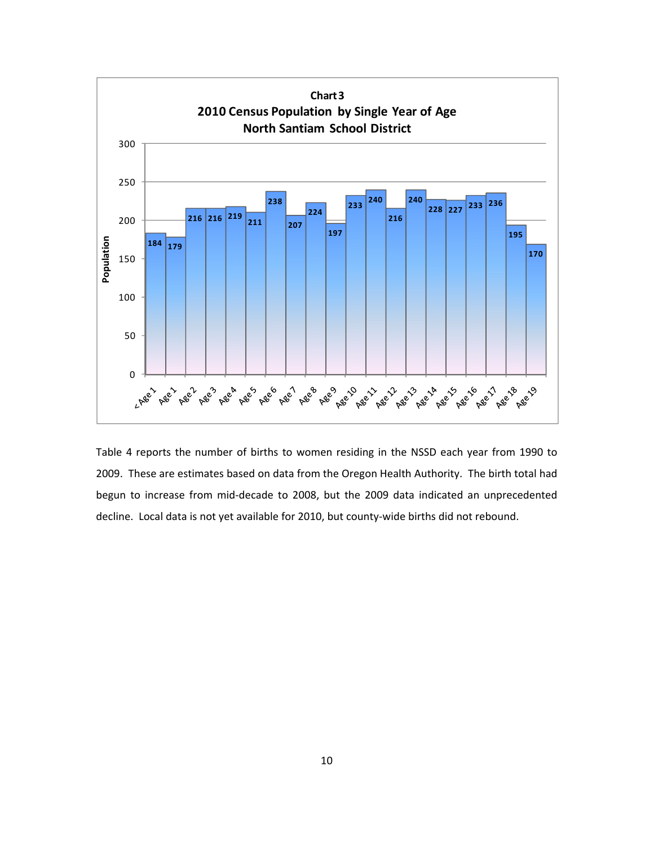

Table 4 reports the number of births to women residing in the NSSD each year from 1990 to 2009. These are estimates based on data from the Oregon Health Authority. The birth total had begun to increase from mid‐decade to 2008, but the 2009 data indicated an unprecedented decline. Local data is not yet available for 2010, but county‐wide births did not rebound.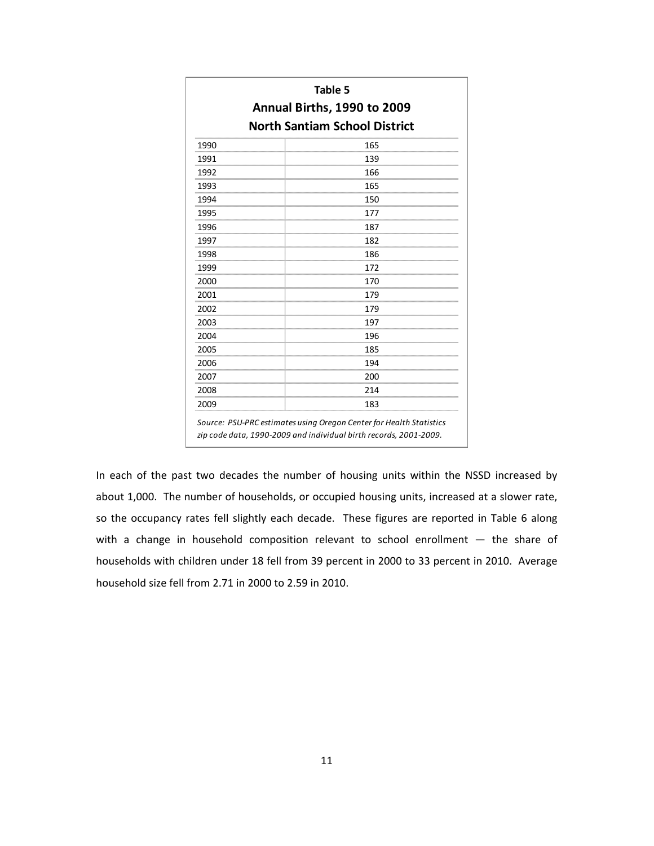|                                      | Annual Births, 1990 to 2009 |  |  |  |  |  |  |
|--------------------------------------|-----------------------------|--|--|--|--|--|--|
| <b>North Santiam School District</b> |                             |  |  |  |  |  |  |
| 1990                                 | 165                         |  |  |  |  |  |  |
| 1991                                 | 139                         |  |  |  |  |  |  |
| 1992                                 | 166                         |  |  |  |  |  |  |
| 1993                                 | 165                         |  |  |  |  |  |  |
| 1994                                 | 150                         |  |  |  |  |  |  |
| 1995                                 | 177                         |  |  |  |  |  |  |
| 1996                                 | 187                         |  |  |  |  |  |  |
| 1997                                 | 182                         |  |  |  |  |  |  |
| 1998                                 | 186                         |  |  |  |  |  |  |
| 1999                                 | 172                         |  |  |  |  |  |  |
| 2000                                 | 170                         |  |  |  |  |  |  |
| 2001                                 | 179                         |  |  |  |  |  |  |
| 2002                                 | 179                         |  |  |  |  |  |  |
| 2003                                 | 197                         |  |  |  |  |  |  |
| 2004                                 | 196                         |  |  |  |  |  |  |
| 2005                                 | 185                         |  |  |  |  |  |  |
| 2006                                 | 194                         |  |  |  |  |  |  |
| 2007                                 | 200                         |  |  |  |  |  |  |
| 2008                                 | 214                         |  |  |  |  |  |  |
| 2009                                 | 183                         |  |  |  |  |  |  |

In each of the past two decades the number of housing units within the NSSD increased by about 1,000. The number of households, or occupied housing units, increased at a slower rate, so the occupancy rates fell slightly each decade. These figures are reported in Table 6 along with a change in household composition relevant to school enrollment — the share of households with children under 18 fell from 39 percent in 2000 to 33 percent in 2010. Average household size fell from 2.71 in 2000 to 2.59 in 2010.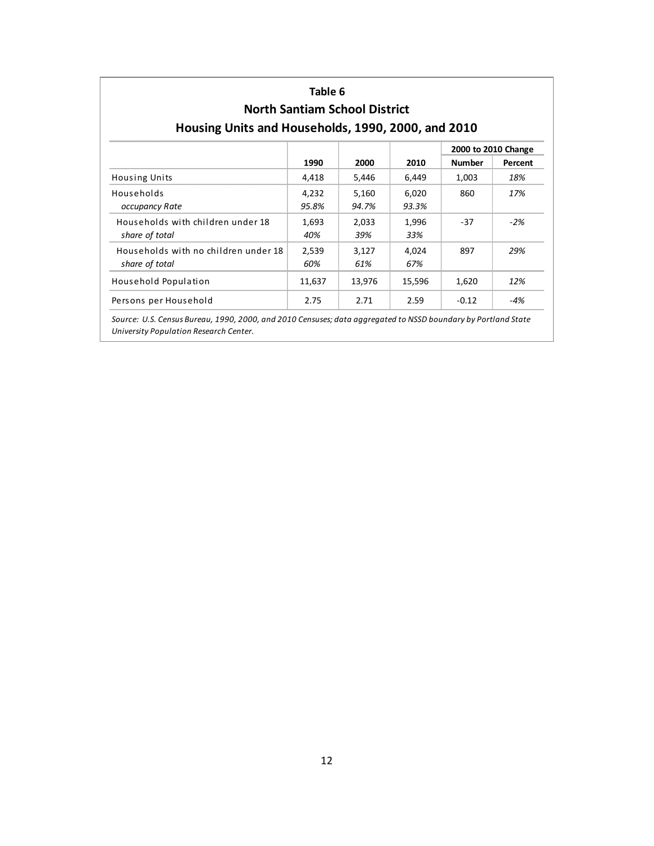| Housing Units and Households, 1990, 2000, and 2010     | Table 6        | <b>North Santiam School District</b> |                |                     |         |
|--------------------------------------------------------|----------------|--------------------------------------|----------------|---------------------|---------|
|                                                        |                |                                      |                | 2000 to 2010 Change |         |
|                                                        | 1990           | 2000                                 | 2010           | <b>Number</b>       | Percent |
| <b>Housing Units</b>                                   | 4.418          | 5,446                                | 6,449          | 1,003               | 18%     |
| Households<br>occupancy Rate                           | 4,232<br>95.8% | 5,160<br>94.7%                       | 6,020<br>93.3% | 860                 | 17%     |
| Households with children under 18<br>share of total    | 1,693<br>40%   | 2,033<br>39%                         | 1,996<br>33%   | $-37$               | $-2%$   |
| Households with no children under 18<br>share of total | 2,539<br>60%   | 3,127<br>61%                         | 4,024<br>67%   | 897                 | 29%     |
| Household Population                                   | 11,637         | 13,976                               | 15,596         | 1,620               | 12%     |
| Persons per Household                                  | 2.75           | 2.71                                 | 2.59           | $-0.12$             | $-4%$   |

*University Population Research Center.*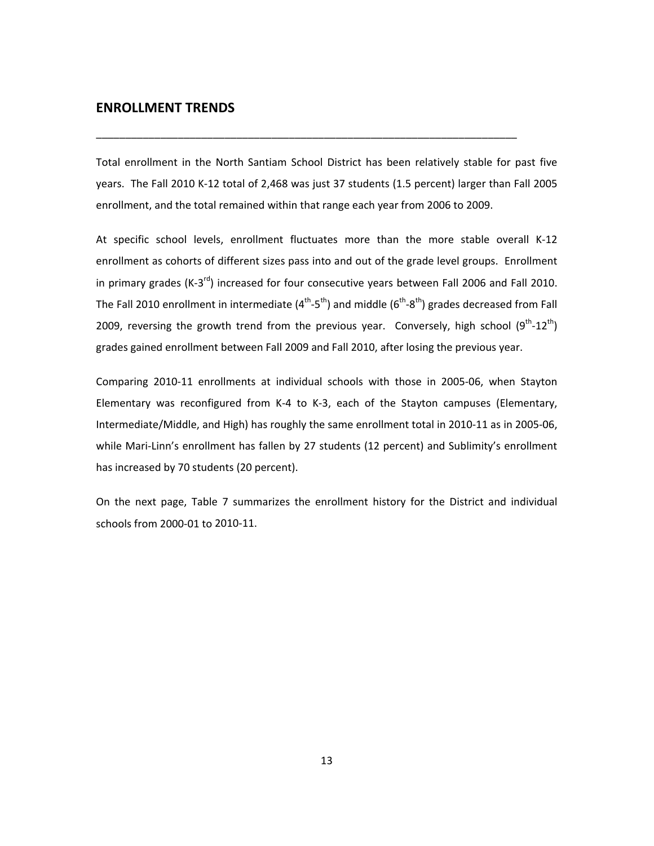#### **ENROLLMENT TRENDS**

Total enrollment in the North Santiam School District has been relatively stable for past five years. The Fall 2010 K‐12 total of 2,468 was just 37 students (1.5 percent) larger than Fall 2005 enrollment, and the total remained within that range each year from 2006 to 2009.

\_\_\_\_\_\_\_\_\_\_\_\_\_\_\_\_\_\_\_\_\_\_\_\_\_\_\_\_\_\_\_\_\_\_\_\_\_\_\_\_\_\_\_\_\_\_\_\_\_\_\_\_\_\_\_\_\_\_\_\_\_\_\_\_\_\_\_\_\_\_\_\_

At specific school levels, enrollment fluctuates more than the more stable overall K‐12 enrollment as cohorts of different sizes pass into and out of the grade level groups. Enrollment in primary grades (K-3<sup>rd</sup>) increased for four consecutive years between Fall 2006 and Fall 2010. The Fall 2010 enrollment in intermediate  $(4^{th}-5^{th})$  and middle  $(6^{th}-8^{th})$  grades decreased from Fall 2009, reversing the growth trend from the previous year. Conversely, high school  $(9^{th}$ -12<sup>th</sup>) grades gained enrollment between Fall 2009 and Fall 2010, after losing the previous year.

Comparing 2010‐11 enrollments at individual schools with those in 2005‐06, when Stayton Elementary was reconfigured from K‐4 to K‐3, each of the Stayton campuses (Elementary, Intermediate/Middle, and High) has roughly the same enrollment total in 2010‐11 as in 2005‐06, while Mari-Linn's enrollment has fallen by 27 students (12 percent) and Sublimity's enrollment has increased by 70 students (20 percent).

On the next page, Table 7 summarizes the enrollment history for the District and individual schools from 2000‐01 to 2010‐11.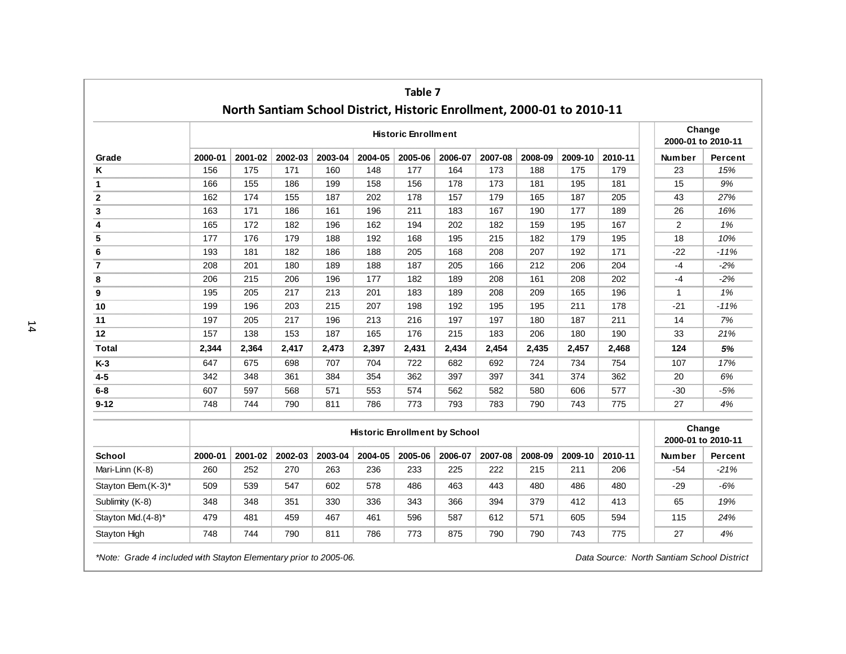|                      |         | North Santiam School District, Historic Enrollment, 2000-01 to 2010-11 |         |         |         | Table 7                              |         |         |         |         |         |                    |         |
|----------------------|---------|------------------------------------------------------------------------|---------|---------|---------|--------------------------------------|---------|---------|---------|---------|---------|--------------------|---------|
|                      |         |                                                                        |         |         |         | <b>Historic Enrollment</b>           |         |         |         |         |         | 2000-01 to 2010-11 | Change  |
| Grade                | 2000-01 | 2001-02                                                                | 2002-03 | 2003-04 | 2004-05 | 2005-06                              | 2006-07 | 2007-08 | 2008-09 | 2009-10 | 2010-11 | Number             | Percent |
| K                    | 156     | 175                                                                    | 171     | 160     | 148     | 177                                  | 164     | 173     | 188     | 175     | 179     | 23                 | 15%     |
| $\mathbf{1}$         | 166     | 155                                                                    | 186     | 199     | 158     | 156                                  | 178     | 173     | 181     | 195     | 181     | 15                 | 9%      |
| $\mathbf{2}$         | 162     | 174                                                                    | 155     | 187     | 202     | 178                                  | 157     | 179     | 165     | 187     | 205     | 43                 | 27%     |
| 3                    | 163     | 171                                                                    | 186     | 161     | 196     | 211                                  | 183     | 167     | 190     | 177     | 189     | 26                 | 16%     |
| 4                    | 165     | 172                                                                    | 182     | 196     | 162     | 194                                  | 202     | 182     | 159     | 195     | 167     | $\overline{2}$     | 1%      |
| 5                    | 177     | 176                                                                    | 179     | 188     | 192     | 168                                  | 195     | 215     | 182     | 179     | 195     | 18                 | 10%     |
| 6                    | 193     | 181                                                                    | 182     | 186     | 188     | 205                                  | 168     | 208     | 207     | 192     | 171     | $-22$              | $-11%$  |
| $\overline{7}$       | 208     | 201                                                                    | 180     | 189     | 188     | 187                                  | 205     | 166     | 212     | 206     | 204     | $-4$               | $-2%$   |
| 8                    | 206     | 215                                                                    | 206     | 196     | 177     | 182                                  | 189     | 208     | 161     | 208     | 202     | $-4$               | $-2%$   |
| 9                    | 195     | 205                                                                    | 217     | 213     | 201     | 183                                  | 189     | 208     | 209     | 165     | 196     | $\mathbf{1}$       | 1%      |
| 10                   | 199     | 196                                                                    | 203     | 215     | 207     | 198                                  | 192     | 195     | 195     | 211     | 178     | $-21$              | $-11%$  |
| 11                   | 197     | 205                                                                    | 217     | 196     | 213     | 216                                  | 197     | 197     | 180     | 187     | 211     | 14                 | 7%      |
| 12                   | 157     | 138                                                                    | 153     | 187     | 165     | 176                                  | 215     | 183     | 206     | 180     | 190     | 33                 | 21%     |
| <b>Total</b>         | 2,344   | 2,364                                                                  | 2,417   | 2,473   | 2,397   | 2,431                                | 2,434   | 2,454   | 2,435   | 2,457   | 2,468   | 124                | 5%      |
| $K-3$                | 647     | 675                                                                    | 698     | 707     | 704     | 722                                  | 682     | 692     | 724     | 734     | 754     | 107                | 17%     |
| $4 - 5$              | 342     | 348                                                                    | 361     | 384     | 354     | 362                                  | 397     | 397     | 341     | 374     | 362     | 20                 | 6%      |
| $6 - 8$              | 607     | 597                                                                    | 568     | 571     | 553     | 574                                  | 562     | 582     | 580     | 606     | 577     | $-30$              | $-5%$   |
| $9 - 12$             | 748     | 744                                                                    | 790     | 811     | 786     | 773                                  | 793     | 783     | 790     | 743     | 775     | 27                 | 4%      |
|                      |         |                                                                        |         |         |         | <b>Historic Enrollment by School</b> |         |         |         |         |         | 2000-01 to 2010-11 | Change  |
| <b>School</b>        | 2000-01 | 2001-02                                                                | 2002-03 | 2003-04 | 2004-05 | 2005-06                              | 2006-07 | 2007-08 | 2008-09 | 2009-10 | 2010-11 | <b>Number</b>      | Percent |
| Mari-Linn (K-8)      | 260     | 252                                                                    | 270     | 263     | 236     | 233                                  | 225     | 222     | 215     | 211     | 206     | $-54$              | $-21%$  |
| Stayton Elem. (K-3)* | 509     | 539                                                                    | 547     | 602     | 578     | 486                                  | 463     | 443     | 480     | 486     | 480     | $-29$              | $-6%$   |
| Sublimity (K-8)      | 348     | 348                                                                    | 351     | 330     | 336     | 343                                  | 366     | 394     | 379     | 412     | 413     | 65                 | 19%     |
| Stayton Mid.(4-8)*   | 479     | 481                                                                    | 459     | 467     | 461     | 596                                  | 587     | 612     | 571     | 605     | 594     | 115                | 24%     |
| <b>Stayton High</b>  | 748     | 744                                                                    | 790     | 811     | 786     | 773                                  | 875     | 790     | 790     | 743     | 775     | 27                 | 4%      |

*\*Note: Grade 4 included with Stayton Elementary prior to 2005-06. Data Source: North Santiam School District*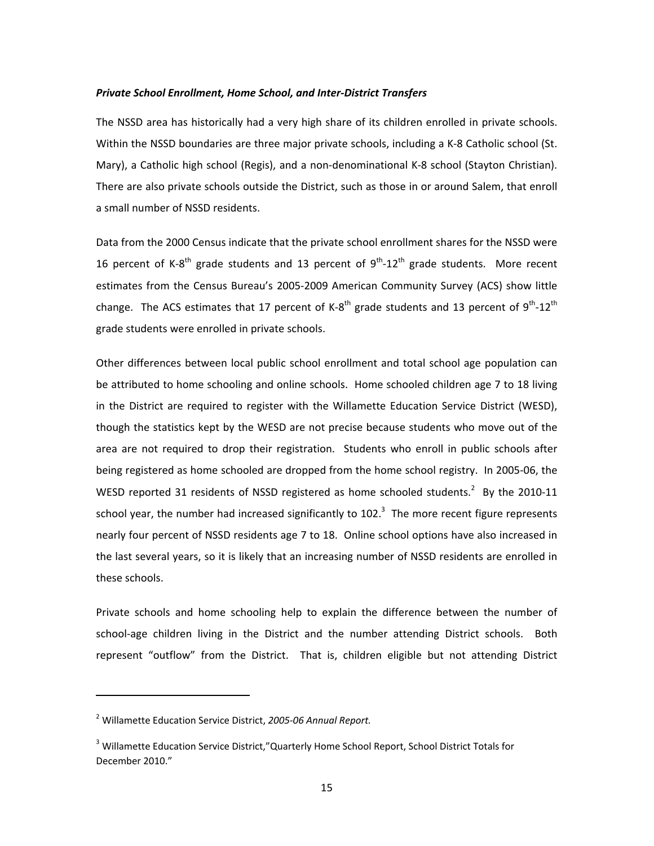#### *Private School Enrollment, Home School, and Inter‐District Transfers*

The NSSD area has historically had a very high share of its children enrolled in private schools. Within the NSSD boundaries are three major private schools, including a K‐8 Catholic school (St. Mary), a Catholic high school (Regis), and a non-denominational K-8 school (Stayton Christian). There are also private schools outside the District, such as those in or around Salem, that enroll a small number of NSSD residents.

Data from the 2000 Census indicate that the private school enrollment shares for the NSSD were 16 percent of K-8<sup>th</sup> grade students and 13 percent of  $9^{th}$ -12<sup>th</sup> grade students. More recent estimates from the Census Bureau's 2005‐2009 American Community Survey (ACS) show little change. The ACS estimates that 17 percent of K-8<sup>th</sup> grade students and 13 percent of 9<sup>th</sup>-12<sup>th</sup> grade students were enrolled in private schools.

Other differences between local public school enrollment and total school age population can be attributed to home schooling and online schools. Home schooled children age 7 to 18 living in the District are required to register with the Willamette Education Service District (WESD), though the statistics kept by the WESD are not precise because students who move out of the area are not required to drop their registration. Students who enroll in public schools after being registered as home schooled are dropped from the home school registry. In 2005-06, the WESD reported 31 residents of NSSD registered as home schooled students. $2$  By the 2010-11 school year, the number had increased significantly to 102.<sup>3</sup> The more recent figure represents nearly four percent of NSSD residents age 7 to 18. Online school options have also increased in the last several years, so it is likely that an increasing number of NSSD residents are enrolled in these schools.

Private schools and home schooling help to explain the difference between the number of school-age children living in the District and the number attending District schools. Both represent "outflow" from the District. That is, children eligible but not attending District

<sup>2</sup> Willamette Education Service District, *2005‐06 Annual Report.*

<sup>3</sup> Willamette Education Service District,"Quarterly Home School Report, School District Totals for December 2010."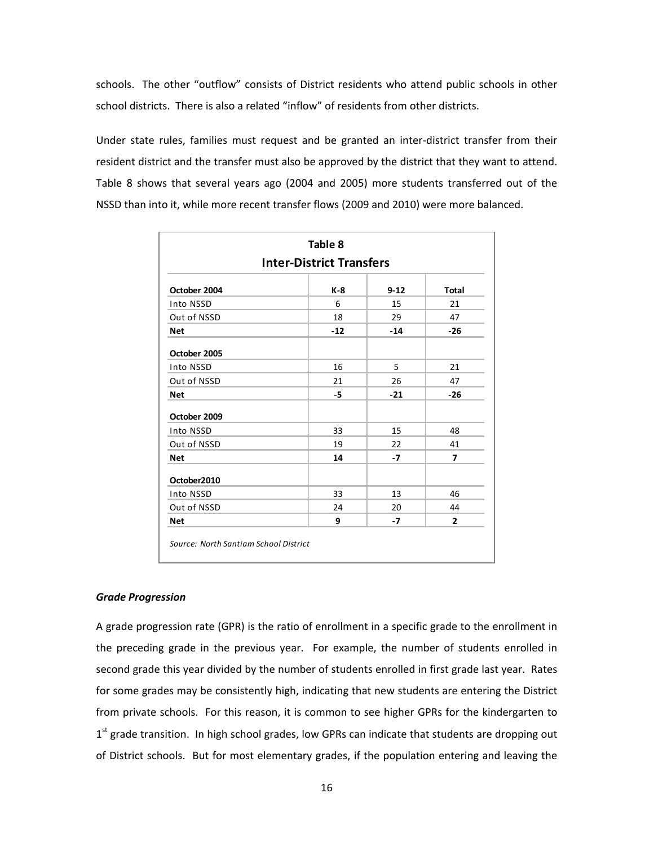schools. The other "outflow" consists of District residents who attend public schools in other school districts. There is also a related "inflow" of residents from other districts.

Under state rules, families must request and be granted an inter‐district transfer from their resident district and the transfer must also be approved by the district that they want to attend. Table 8 shows that several years ago (2004 and 2005) more students transferred out of the NSSD than into it, while more recent transfer flows (2009 and 2010) were more balanced.

| Table 8<br><b>Inter-District Transfers</b> |       |          |              |  |  |  |  |
|--------------------------------------------|-------|----------|--------------|--|--|--|--|
| October 2004                               | K-8   | $9 - 12$ | <b>Total</b> |  |  |  |  |
| Into NSSD                                  | 6     | 15       | 21           |  |  |  |  |
| Out of NSSD                                | 18    | 29       | 47           |  |  |  |  |
| <b>Net</b>                                 | $-12$ | $-14$    | $-26$        |  |  |  |  |
| October 2005                               |       |          |              |  |  |  |  |
| Into NSSD                                  | 16    | 5        | 21           |  |  |  |  |
| Out of NSSD                                | 21    | 26       | 47           |  |  |  |  |
| <b>Net</b>                                 | -5    | $-21$    | $-26$        |  |  |  |  |
| October 2009                               |       |          |              |  |  |  |  |
| Into NSSD                                  | 33    | 15       | 48           |  |  |  |  |
| Out of NSSD                                | 19    | 22       | 41           |  |  |  |  |
| <b>Net</b>                                 | 14    | $-7$     | 7            |  |  |  |  |
| October2010                                |       |          |              |  |  |  |  |
| Into NSSD                                  | 33    | 13       | 46           |  |  |  |  |
| Out of NSSD                                | 24    | 20       | 44           |  |  |  |  |
| <b>Net</b>                                 | 9     | -7       | 2            |  |  |  |  |

#### *Grade Progression*

A grade progression rate (GPR) is the ratio of enrollment in a specific grade to the enrollment in the preceding grade in the previous year. For example, the number of students enrolled in second grade this year divided by the number of students enrolled in first grade last year. Rates for some grades may be consistently high, indicating that new students are entering the District from private schools. For this reason, it is common to see higher GPRs for the kindergarten to  $1<sup>st</sup>$  grade transition. In high school grades, low GPRs can indicate that students are dropping out of District schools. But for most elementary grades, if the population entering and leaving the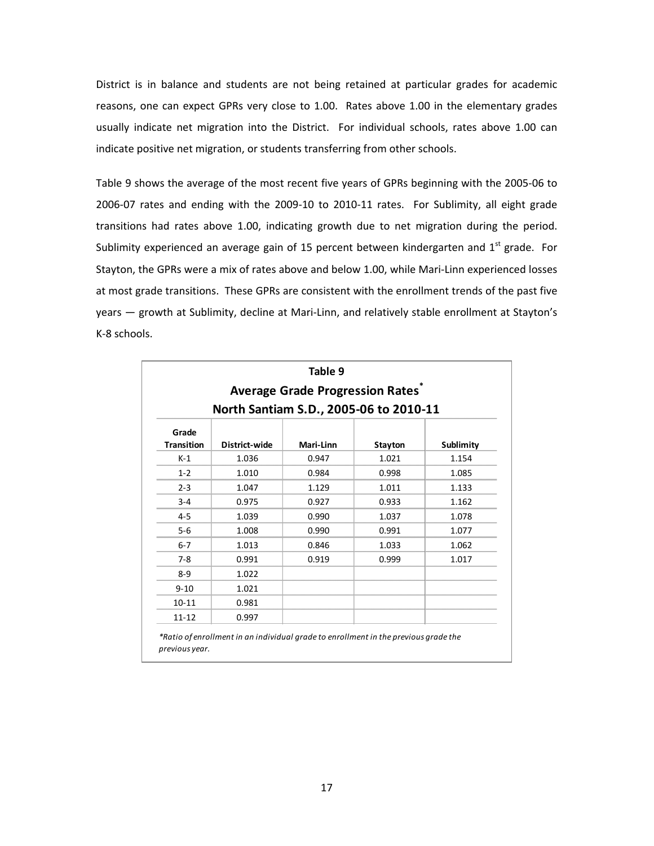District is in balance and students are not being retained at particular grades for academic reasons, one can expect GPRs very close to 1.00. Rates above 1.00 in the elementary grades usually indicate net migration into the District. For individual schools, rates above 1.00 can indicate positive net migration, or students transferring from other schools.

Table 9 shows the average of the most recent five years of GPRs beginning with the 2005‐06 to 2006‐07 rates and ending with the 2009‐10 to 2010‐11 rates. For Sublimity, all eight grade transitions had rates above 1.00, indicating growth due to net migration during the period. Sublimity experienced an average gain of 15 percent between kindergarten and  $1<sup>st</sup>$  grade. For Stayton, the GPRs were a mix of rates above and below 1.00, while Mari‐Linn experienced losses at most grade transitions. These GPRs are consistent with the enrollment trends of the past five years — growth at Sublimity, decline at Mari-Linn, and relatively stable enrollment at Stayton's K‐8 schools.

|                            |                                        | Table 9<br><b>Average Grade Progression Rates</b> |                |           |
|----------------------------|----------------------------------------|---------------------------------------------------|----------------|-----------|
|                            | North Santiam S.D., 2005-06 to 2010-11 |                                                   |                |           |
| Grade<br><b>Transition</b> | District-wide                          | Mari-Linn                                         | <b>Stayton</b> | Sublimity |
| $K-1$                      | 1.036                                  | 0.947                                             | 1.021          | 1.154     |
| $1 - 2$                    | 1.010                                  | 0.984                                             | 0.998          | 1.085     |
| $2 - 3$                    | 1.047                                  | 1.129                                             | 1.011          | 1.133     |
| $3 - 4$                    | 0.975                                  | 0.927                                             | 0.933          | 1.162     |
| $4 - 5$                    | 1.039                                  | 0.990                                             | 1.037          | 1.078     |
| $5-6$                      | 1.008                                  | 0.990                                             | 0.991          | 1.077     |
| $6 - 7$                    | 1.013                                  | 0.846                                             | 1.033          | 1.062     |
| $7-8$                      | 0.991                                  | 0.919                                             | 0.999          | 1.017     |
| $8 - 9$                    | 1.022                                  |                                                   |                |           |
| $9 - 10$                   | 1.021                                  |                                                   |                |           |
| $10 - 11$                  | 0.981                                  |                                                   |                |           |
| $11 - 12$                  | 0.997                                  |                                                   |                |           |

*previous year.*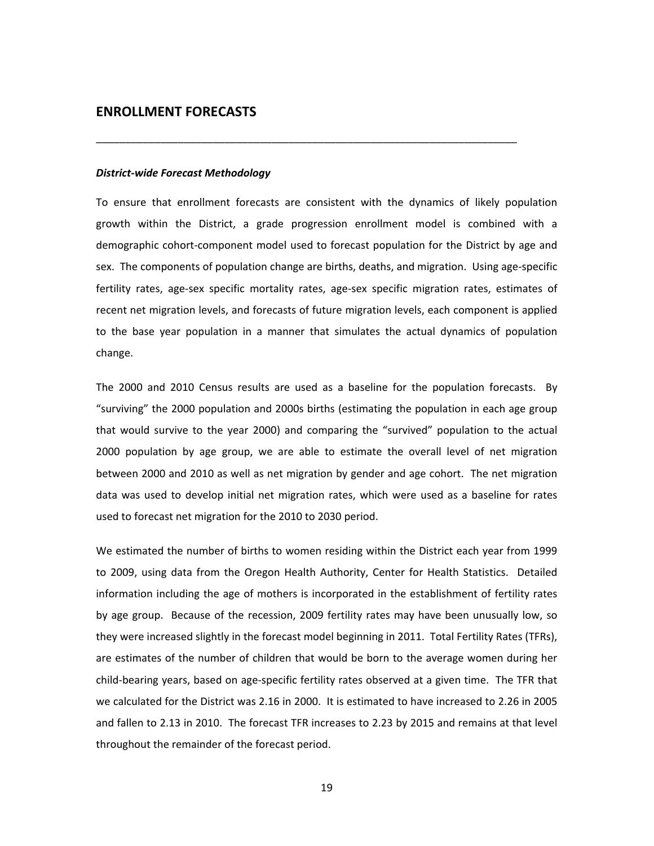#### **ENROLLMENT FORECASTS**

#### *District‐wide Forecast Methodology*

To ensure that enrollment forecasts are consistent with the dynamics of likely population growth within the District, a grade progression enrollment model is combined with a demographic cohort‐component model used to forecast population for the District by age and sex. The components of population change are births, deaths, and migration. Using age-specific fertility rates, age-sex specific mortality rates, age-sex specific migration rates, estimates of recent net migration levels, and forecasts of future migration levels, each component is applied to the base year population in a manner that simulates the actual dynamics of population change.

\_\_\_\_\_\_\_\_\_\_\_\_\_\_\_\_\_\_\_\_\_\_\_\_\_\_\_\_\_\_\_\_\_\_\_\_\_\_\_\_\_\_\_\_\_\_\_\_\_\_\_\_\_\_\_\_\_\_\_\_\_\_\_\_\_\_\_\_\_\_\_\_

The 2000 and 2010 Census results are used as a baseline for the population forecasts. By "surviving" the 2000 population and 2000s births (estimating the population in each age group that would survive to the year 2000) and comparing the "survived" population to the actual 2000 population by age group, we are able to estimate the overall level of net migration between 2000 and 2010 as well as net migration by gender and age cohort. The net migration data was used to develop initial net migration rates, which were used as a baseline for rates used to forecast net migration for the 2010 to 2030 period.

We estimated the number of births to women residing within the District each year from 1999 to 2009, using data from the Oregon Health Authority, Center for Health Statistics. Detailed information including the age of mothers is incorporated in the establishment of fertility rates by age group. Because of the recession, 2009 fertility rates may have been unusually low, so they were increased slightly in the forecast model beginning in 2011. Total Fertility Rates (TFRs), are estimates of the number of children that would be born to the average women during her child‐bearing years, based on age‐specific fertility rates observed at a given time. The TFR that we calculated for the District was 2.16 in 2000. It is estimated to have increased to 2.26 in 2005 and fallen to 2.13 in 2010. The forecast TFR increases to 2.23 by 2015 and remains at that level throughout the remainder of the forecast period.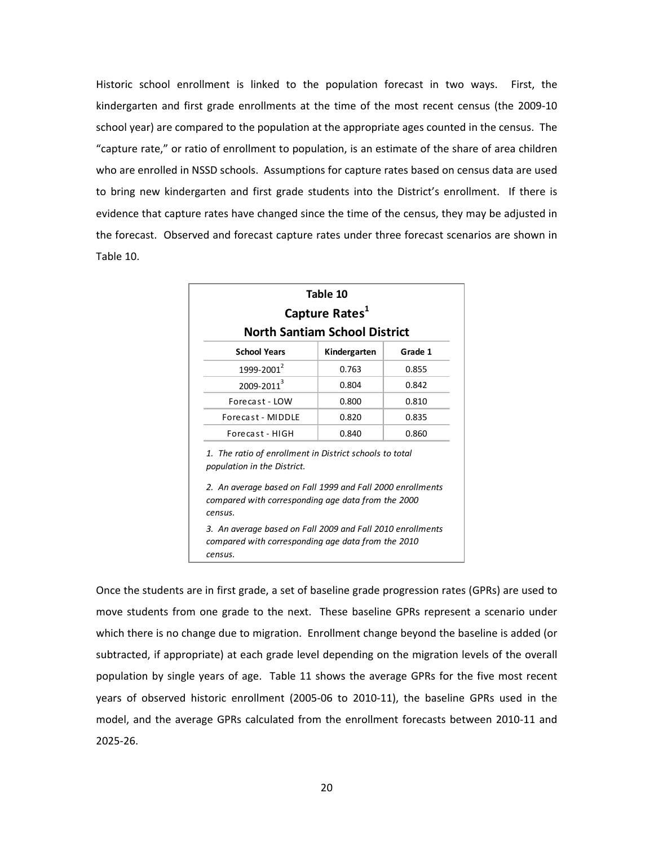Historic school enrollment is linked to the population forecast in two ways. First, the kindergarten and first grade enrollments at the time of the most recent census (the 2009-10 school year) are compared to the population at the appropriate ages counted in the census. The "capture rate," or ratio of enrollment to population, is an estimate of the share of area children who are enrolled in NSSD schools. Assumptions for capture rates based on census data are used to bring new kindergarten and first grade students into the District's enrollment. If there is evidence that capture rates have changed since the time of the census, they may be adjusted in the forecast. Observed and forecast capture rates under three forecast scenarios are shown in Table 10.

|                                                                                                                                                                                                                       | Table 10<br>Capture Rates <sup>1</sup> |       |  |  |  |  |  |
|-----------------------------------------------------------------------------------------------------------------------------------------------------------------------------------------------------------------------|----------------------------------------|-------|--|--|--|--|--|
|                                                                                                                                                                                                                       | <b>North Santiam School District</b>   |       |  |  |  |  |  |
| <b>School Years</b><br>Grade 1<br>Kindergarten                                                                                                                                                                        |                                        |       |  |  |  |  |  |
| 1999-2001 <sup>2</sup>                                                                                                                                                                                                | 0.763                                  | 0.855 |  |  |  |  |  |
| 2009-2011 <sup>3</sup>                                                                                                                                                                                                | 0.804                                  | 0.842 |  |  |  |  |  |
| Forecast - LOW                                                                                                                                                                                                        | 0.800                                  | 0.810 |  |  |  |  |  |
| Forecast - MIDDLE                                                                                                                                                                                                     | 0.820                                  | 0.835 |  |  |  |  |  |
| Forecast - HIGH                                                                                                                                                                                                       | 0.840                                  | 0.860 |  |  |  |  |  |
| 1. The ratio of enrollment in District schools to total<br>population in the District.<br>2. An average based on Fall 1999 and Fall 2000 enrollments<br>compared with corresponding age data from the 2000<br>census. |                                        |       |  |  |  |  |  |
| 3. An average based on Fall 2009 and Fall 2010 enrollments<br>compared with corresponding age data from the 2010                                                                                                      |                                        |       |  |  |  |  |  |

Once the students are in first grade, a set of baseline grade progression rates (GPRs) are used to move students from one grade to the next. These baseline GPRs represent a scenario under which there is no change due to migration. Enrollment change beyond the baseline is added (or subtracted, if appropriate) at each grade level depending on the migration levels of the overall population by single years of age. Table 11 shows the average GPRs for the five most recent years of observed historic enrollment (2005‐06 to 2010‐11), the baseline GPRs used in the model, and the average GPRs calculated from the enrollment forecasts between 2010‐11 and 2025‐26.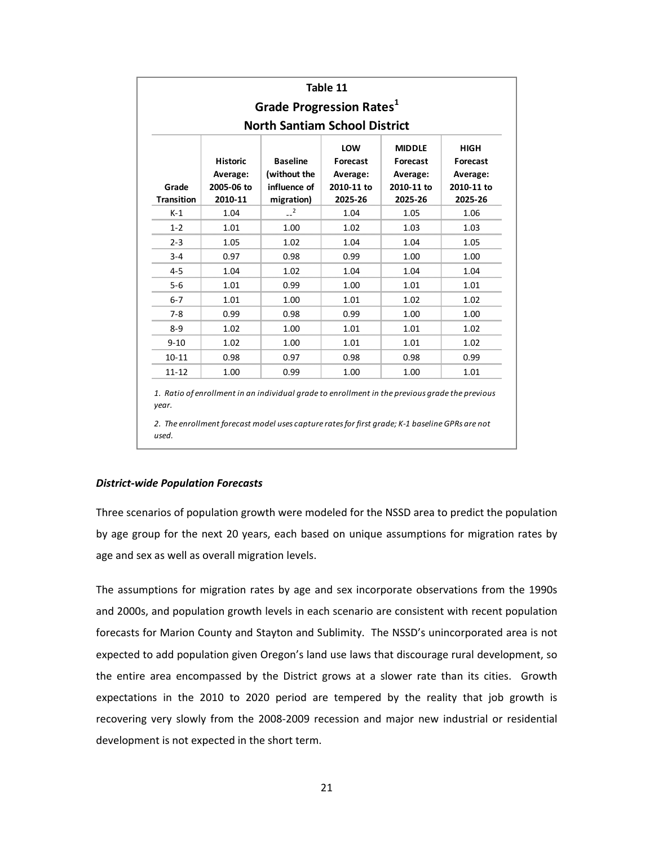| Table 11<br>Grade Progression Rates <sup>1</sup><br><b>North Santiam School District</b> |                                                      |                                                               |                                                      |                                                                |                                                              |  |  |  |  |  |
|------------------------------------------------------------------------------------------|------------------------------------------------------|---------------------------------------------------------------|------------------------------------------------------|----------------------------------------------------------------|--------------------------------------------------------------|--|--|--|--|--|
| Grade<br><b>Transition</b>                                                               | <b>Historic</b><br>Average:<br>2005-06 to<br>2010-11 | <b>Baseline</b><br>(without the<br>influence of<br>migration) | LOW<br>Forecast<br>Average:<br>2010-11 to<br>2025-26 | <b>MIDDLE</b><br>Forecast<br>Average:<br>2010-11 to<br>2025-26 | <b>HIGH</b><br>Forecast<br>Average:<br>2010-11 to<br>2025-26 |  |  |  |  |  |
| $K-1$                                                                                    | 1.04                                                 | 2                                                             | 1.04                                                 | 1.05                                                           | 1.06                                                         |  |  |  |  |  |
| $1 - 2$                                                                                  | 1.01                                                 | 1.00                                                          | 1.02                                                 | 1.03                                                           | 1.03                                                         |  |  |  |  |  |
| $2 - 3$                                                                                  | 1.05                                                 | 1.02                                                          | 1.04                                                 | 1.04                                                           | 1.05                                                         |  |  |  |  |  |
| $3 - 4$                                                                                  | 0.97                                                 | 0.98                                                          | 0.99                                                 | 1.00                                                           | 1.00                                                         |  |  |  |  |  |
| $4 - 5$                                                                                  | 1.04                                                 | 1.02                                                          | 1.04                                                 | 1.04                                                           | 1.04                                                         |  |  |  |  |  |
| $5-6$                                                                                    | 1.01                                                 | 0.99                                                          | 1.00                                                 | 1.01                                                           | 1.01                                                         |  |  |  |  |  |
| $6 - 7$                                                                                  | 1.01                                                 | 1.00                                                          | 1.01                                                 | 1.02                                                           | 1.02                                                         |  |  |  |  |  |
| $7 - 8$                                                                                  | 0.99                                                 | 0.98                                                          | 0.99                                                 | 1.00                                                           | 1.00                                                         |  |  |  |  |  |
| $8 - 9$                                                                                  | 1.02                                                 | 1.00                                                          | 1.01                                                 | 1.01                                                           | 1.02                                                         |  |  |  |  |  |
| $9 - 10$                                                                                 | 1.02                                                 | 1.00                                                          | 1.01                                                 | 1.01                                                           | 1.02                                                         |  |  |  |  |  |
| $10 - 11$                                                                                | 0.98                                                 | 0.97                                                          | 0.98                                                 | 0.98                                                           | 0.99                                                         |  |  |  |  |  |
| $11 - 12$                                                                                | 1.00                                                 | 0.99                                                          | 1.00                                                 | 1.00                                                           | 1.01                                                         |  |  |  |  |  |

*1. Ratio of enrollment in an individual grade to enrollment in the previous grade the previous year.*

*2. The enrollment forecast model uses capture ratesfor first grade; K‐1 baseline GPRs are not used.*

#### *District‐wide Population Forecasts*

Three scenarios of population growth were modeled for the NSSD area to predict the population by age group for the next 20 years, each based on unique assumptions for migration rates by age and sex as well as overall migration levels.

The assumptions for migration rates by age and sex incorporate observations from the 1990s and 2000s, and population growth levels in each scenario are consistent with recent population forecasts for Marion County and Stayton and Sublimity. The NSSD's unincorporated area is not expected to add population given Oregon's land use laws that discourage rural development, so the entire area encompassed by the District grows at a slower rate than its cities. Growth expectations in the 2010 to 2020 period are tempered by the reality that job growth is recovering very slowly from the 2008‐2009 recession and major new industrial or residential development is not expected in the short term.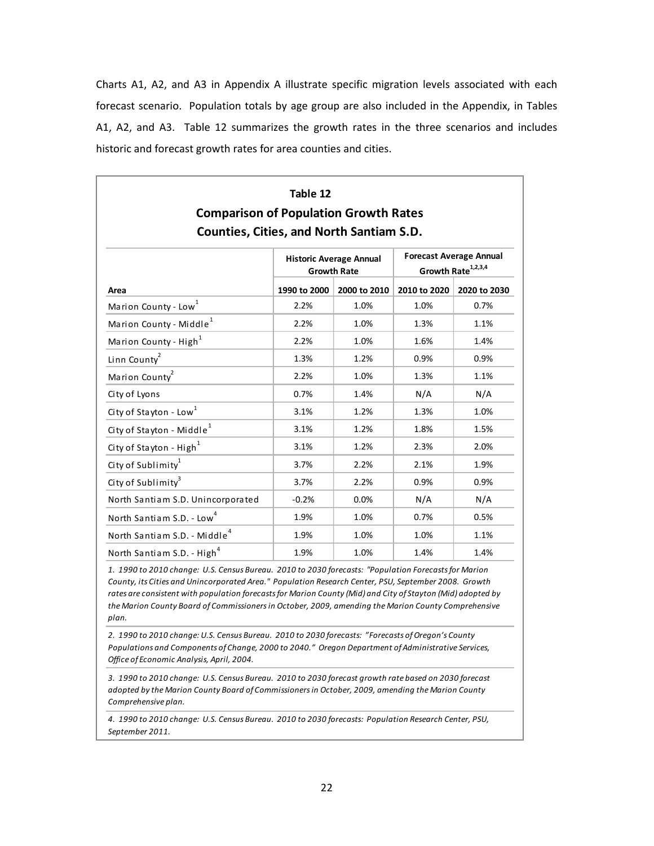Charts A1, A2, and A3 in Appendix A illustrate specific migration levels associated with each forecast scenario. Population totals by age group are also included in the Appendix, in Tables A1, A2, and A3. Table 12 summarizes the growth rates in the three scenarios and includes historic and forecast growth rates for area counties and cities.

| Table 12<br><b>Comparison of Population Growth Rates</b><br><b>Counties, Cities, and North Santiam S.D.</b> |              |                                                      |              |                                                                  |  |  |  |  |  |  |
|-------------------------------------------------------------------------------------------------------------|--------------|------------------------------------------------------|--------------|------------------------------------------------------------------|--|--|--|--|--|--|
|                                                                                                             |              | <b>Historic Average Annual</b><br><b>Growth Rate</b> |              | <b>Forecast Average Annual</b><br>Growth Rate <sup>1,2,3,4</sup> |  |  |  |  |  |  |
| Area                                                                                                        | 1990 to 2000 | 2000 to 2010                                         | 2010 to 2020 | 2020 to 2030                                                     |  |  |  |  |  |  |
| Marion County - Low <sup>1</sup>                                                                            | 2.2%         | 1.0%                                                 | 1.0%         | 0.7%                                                             |  |  |  |  |  |  |
| Marion County - Middle <sup>1</sup>                                                                         | 2.2%         | 1.0%                                                 | 1.3%         | 1.1%                                                             |  |  |  |  |  |  |
| Marion County - High <sup>1</sup>                                                                           | 2.2%         | 1.0%                                                 | 1.6%         | 1.4%                                                             |  |  |  |  |  |  |
| Linn County <sup>2</sup>                                                                                    | 1.3%         | 1.2%                                                 | 0.9%         | 0.9%                                                             |  |  |  |  |  |  |
| Marion County <sup>2</sup>                                                                                  | 2.2%         | 1.0%                                                 | 1.3%         | 1.1%                                                             |  |  |  |  |  |  |
| City of Lyons                                                                                               | 0.7%         | 1.4%                                                 | N/A          | N/A                                                              |  |  |  |  |  |  |
| City of Stayton - Low <sup>1</sup>                                                                          | 3.1%         | 1.2%                                                 | 1.3%         | 1.0%                                                             |  |  |  |  |  |  |
| City of Stayton - Middle <sup>1</sup>                                                                       | 3.1%         | 1.2%                                                 | 1.8%         | 1.5%                                                             |  |  |  |  |  |  |
| City of Stayton - High <sup>1</sup>                                                                         | 3.1%         | 1.2%                                                 | 2.3%         | 2.0%                                                             |  |  |  |  |  |  |
| City of Sublimity <sup>1</sup>                                                                              | 3.7%         | 2.2%                                                 | 2.1%         | 1.9%                                                             |  |  |  |  |  |  |
| City of Sublimity <sup>3</sup>                                                                              | 3.7%         | 2.2%                                                 | 0.9%         | 0.9%                                                             |  |  |  |  |  |  |
| North Santiam S.D. Unincorporated                                                                           | $-0.2%$      | 0.0%                                                 | N/A          | N/A                                                              |  |  |  |  |  |  |
| North Santiam S.D. - Low <sup>4</sup>                                                                       | 1.9%         | 1.0%                                                 | 0.7%         | 0.5%                                                             |  |  |  |  |  |  |
| North Santiam S.D. - Middle <sup>4</sup>                                                                    | 1.9%         | 1.0%                                                 | 1.0%         | 1.1%                                                             |  |  |  |  |  |  |
| North Santiam S.D. - High <sup>4</sup>                                                                      | 1.9%         | 1.0%                                                 | 1.4%         | 1.4%                                                             |  |  |  |  |  |  |

1. 1990 to 2010 change: U.S. Census Bureau. 2010 to 2030 forecasts: "Population Forecasts for Marion *County, its Cities and Unincorporated Area." Population Research Center, PSU, September 2008. Growth rates are consistent with population forecastsfor Marion County (Mid) and City of Stayton (Mid) adopted by the Marion County Board of Commissionersin October, 2009, amending the Marion County Comprehensive plan.*

2. 1990 to 2010 change: U.S. Census Bureau. 2010 to 2030 forecasts: "Forecasts of Oregon's County *Populations and Components of Change, 2000 to 2040." Oregon Department of Administrative Services, Office of Economic Analysis, April, 2004.*

3. 1990 to 2010 change: U.S. Census Bureau. 2010 to 2030 forecast growth rate based on 2030 forecast *adopted by the Marion County Board of Commissionersin October, 2009, amending the Marion County Comprehensive plan.*

4. 1990 to 2010 change: U.S. Census Bureau. 2010 to 2030 forecasts: Population Research Center, PSU, *September 2011.*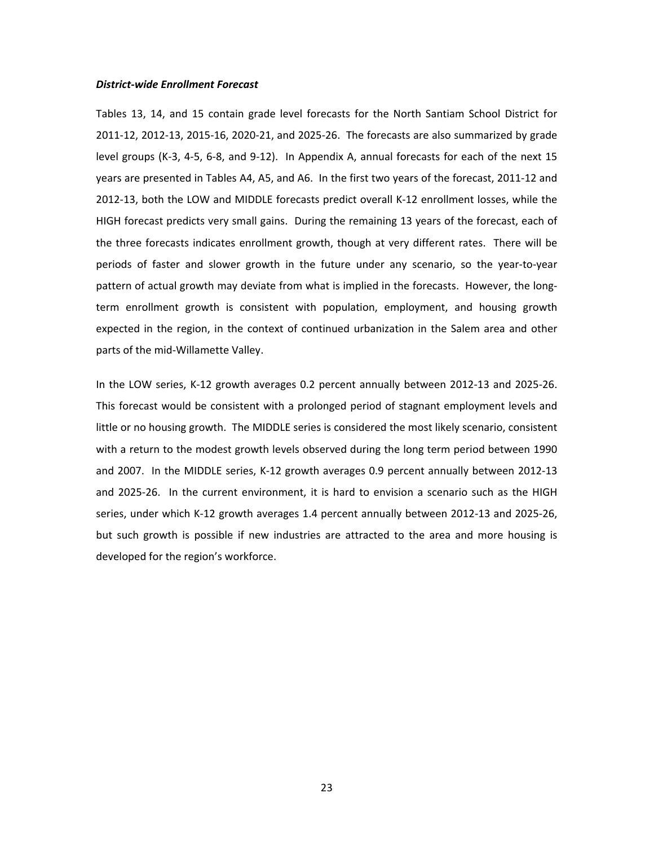#### *District‐wide Enrollment Forecast*

Tables 13, 14, and 15 contain grade level forecasts for the North Santiam School District for 2011‐12, 2012‐13, 2015‐16, 2020‐21, and 2025‐26. The forecasts are also summarized by grade level groups (K‐3, 4‐5, 6‐8, and 9‐12). In Appendix A, annual forecasts for each of the next 15 years are presented in Tables A4, A5, and A6. In the first two years of the forecast, 2011‐12 and 2012‐13, both the LOW and MIDDLE forecasts predict overall K‐12 enrollment losses, while the HIGH forecast predicts very small gains. During the remaining 13 years of the forecast, each of the three forecasts indicates enrollment growth, though at very different rates. There will be periods of faster and slower growth in the future under any scenario, so the year‐to‐year pattern of actual growth may deviate from what is implied in the forecasts. However, the longterm enrollment growth is consistent with population, employment, and housing growth expected in the region, in the context of continued urbanization in the Salem area and other parts of the mid‐Willamette Valley.

In the LOW series, K‐12 growth averages 0.2 percent annually between 2012‐13 and 2025‐26. This forecast would be consistent with a prolonged period of stagnant employment levels and little or no housing growth. The MIDDLE series is considered the most likely scenario, consistent with a return to the modest growth levels observed during the long term period between 1990 and 2007. In the MIDDLE series, K‐12 growth averages 0.9 percent annually between 2012‐13 and 2025-26. In the current environment, it is hard to envision a scenario such as the HIGH series, under which K‐12 growth averages 1.4 percent annually between 2012‐13 and 2025‐26, but such growth is possible if new industries are attracted to the area and more housing is developed for the region's workforce.

23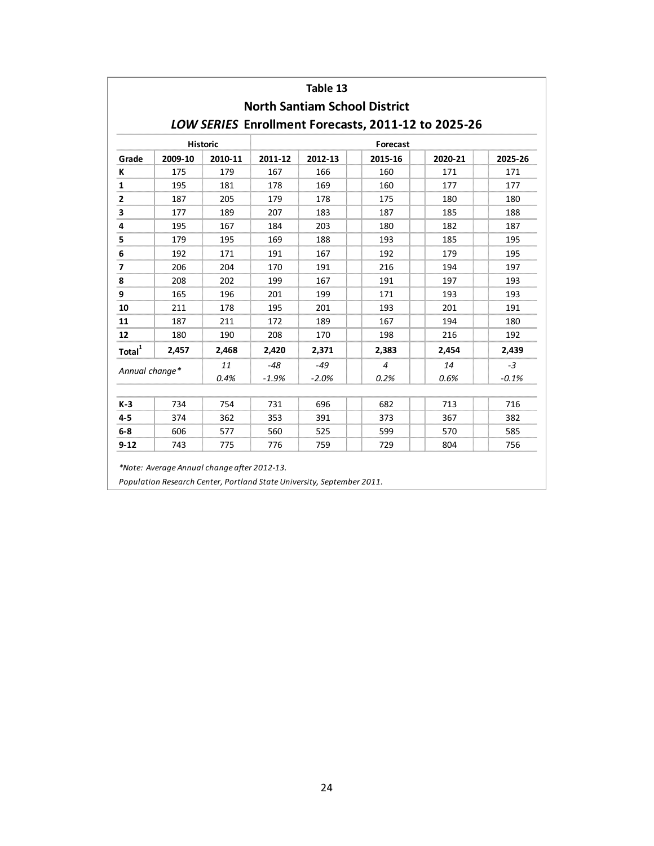|                             |         |            |                  | Table 13         | <b>North Santiam School District</b>                |            |                 |  |  |  |  |
|-----------------------------|---------|------------|------------------|------------------|-----------------------------------------------------|------------|-----------------|--|--|--|--|
|                             |         |            |                  |                  | LOW SERIES Enrollment Forecasts, 2011-12 to 2025-26 |            |                 |  |  |  |  |
| <b>Historic</b><br>Forecast |         |            |                  |                  |                                                     |            |                 |  |  |  |  |
| Grade                       | 2009-10 | 2010-11    | 2011-12          | 2012-13          | 2015-16                                             | 2020-21    | 2025-26         |  |  |  |  |
| К                           | 175     | 179        | 167              | 166              | 160                                                 | 171        | 171             |  |  |  |  |
| 1                           | 195     | 181        | 178              | 169              | 160                                                 | 177        | 177             |  |  |  |  |
| $\mathbf{2}$                | 187     | 205        | 179              | 178              | 175                                                 | 180        | 180             |  |  |  |  |
| 3                           | 177     | 189        | 207              | 183              | 187                                                 | 185        | 188             |  |  |  |  |
| 4                           | 195     | 167        | 184              | 203              | 180                                                 | 182        | 187             |  |  |  |  |
| 5                           | 179     | 195        | 169              | 188              | 193                                                 | 185        | 195             |  |  |  |  |
| 6                           | 192     | 171        | 191              | 167              | 192                                                 | 179        | 195             |  |  |  |  |
| 7                           | 206     | 204        | 170              | 191              | 216                                                 | 194        | 197             |  |  |  |  |
| 8                           | 208     | 202        | 199              | 167              | 191                                                 | 197        | 193             |  |  |  |  |
| 9                           | 165     | 196        | 201              | 199              | 171                                                 | 193        | 193             |  |  |  |  |
| 10                          | 211     | 178        | 195              | 201              | 193                                                 | 201        | 191             |  |  |  |  |
| 11                          | 187     | 211        | 172              | 189              | 167                                                 | 194        | 180             |  |  |  |  |
| 12                          | 180     | 190        | 208              | 170              | 198                                                 | 216        | 192             |  |  |  |  |
| Total $1$                   | 2,457   | 2,468      | 2,420            | 2,371            | 2,383                                               | 2,454      | 2,439           |  |  |  |  |
| Annual change*              |         | 11<br>0.4% | $-48$<br>$-1.9%$ | $-49$<br>$-2.0%$ | $\overline{4}$<br>0.2%                              | 14<br>0.6% | $-3$<br>$-0.1%$ |  |  |  |  |
| $K-3$                       | 734     | 754        | 731              | 696              | 682                                                 | 713        | 716             |  |  |  |  |
| 4-5                         | 374     | 362        | 353              | 391              | 373                                                 | 367        | 382             |  |  |  |  |
| $6-8$                       | 606     | 577        | 560              | 525              | 599                                                 | 570        | 585             |  |  |  |  |
| $9 - 12$                    | 743     | 775        | 776              | 759              | 729                                                 | 804        | 756             |  |  |  |  |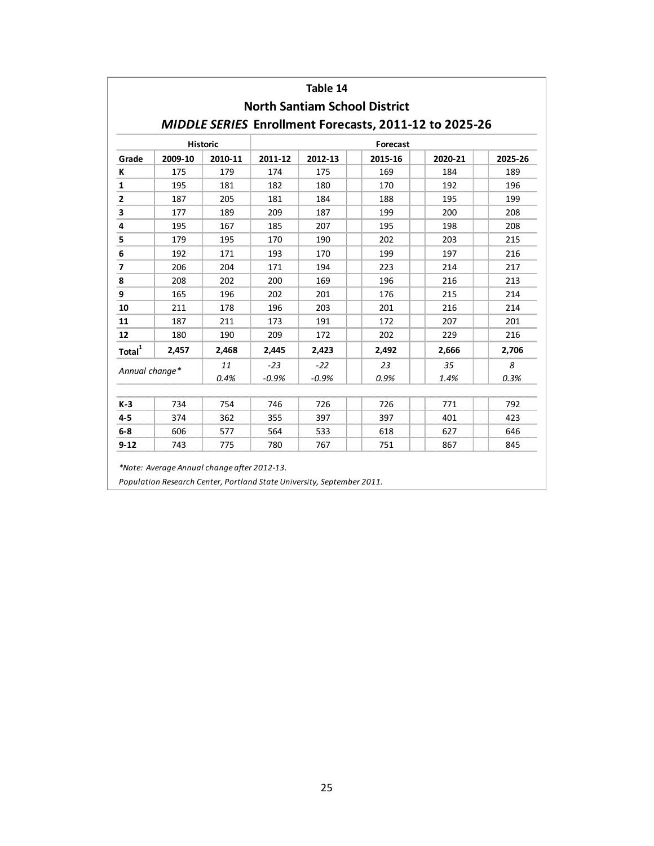|                             |         |            |                  | Table 14         | <b>North Santiam School District</b>                          |            |           |  |  |  |  |
|-----------------------------|---------|------------|------------------|------------------|---------------------------------------------------------------|------------|-----------|--|--|--|--|
|                             |         |            |                  |                  | <b>MIDDLE SERIES Enrollment Forecasts, 2011-12 to 2025-26</b> |            |           |  |  |  |  |
| <b>Historic</b><br>Forecast |         |            |                  |                  |                                                               |            |           |  |  |  |  |
| Grade                       | 2009-10 | 2010-11    | 2011-12          | 2012-13          | 2015-16                                                       | 2020-21    | 2025-26   |  |  |  |  |
| К                           | 175     | 179        | 174              | 175              | 169                                                           | 184        | 189       |  |  |  |  |
| $\mathbf{1}$                | 195     | 181        | 182              | 180              | 170                                                           | 192        | 196       |  |  |  |  |
| $\overline{2}$              | 187     | 205        | 181              | 184              | 188                                                           | 195        | 199       |  |  |  |  |
| 3                           | 177     | 189        | 209              | 187              | 199                                                           | 200        | 208       |  |  |  |  |
| 4                           | 195     | 167        | 185              | 207              | 195                                                           | 198        | 208       |  |  |  |  |
| 5                           | 179     | 195        | 170              | 190              | 202                                                           | 203        | 215       |  |  |  |  |
| 6                           | 192     | 171        | 193              | 170              | 199                                                           | 197        | 216       |  |  |  |  |
| 7                           | 206     | 204        | 171              | 194              | 223                                                           | 214        | 217       |  |  |  |  |
| 8                           | 208     | 202        | 200              | 169              | 196                                                           | 216        | 213       |  |  |  |  |
| 9                           | 165     | 196        | 202              | 201              | 176                                                           | 215        | 214       |  |  |  |  |
| 10                          | 211     | 178        | 196              | 203              | 201                                                           | 216        | 214       |  |  |  |  |
| 11                          | 187     | 211        | 173              | 191              | 172                                                           | 207        | 201       |  |  |  |  |
| 12                          | 180     | 190        | 209              | 172              | 202                                                           | 229        | 216       |  |  |  |  |
| Total <sup>1</sup>          | 2,457   | 2,468      | 2,445            | 2,423            | 2,492                                                         | 2,666      | 2,706     |  |  |  |  |
| Annual change*              |         | 11<br>0.4% | $-23$<br>$-0.9%$ | $-22$<br>$-0.9%$ | 23<br>0.9%                                                    | 35<br>1.4% | 8<br>0.3% |  |  |  |  |
| $K-3$                       | 734     | 754        | 746              | 726              | 726                                                           | 771        | 792       |  |  |  |  |
| $4 - 5$                     | 374     | 362        | 355              | 397              | 397                                                           | 401        | 423       |  |  |  |  |
| $6-8$                       | 606     | 577        | 564              | 533              | 618                                                           | 627        | 646       |  |  |  |  |
| $9 - 12$                    | 743     | 775        | 780              | 767              | 751                                                           | 867        | 845       |  |  |  |  |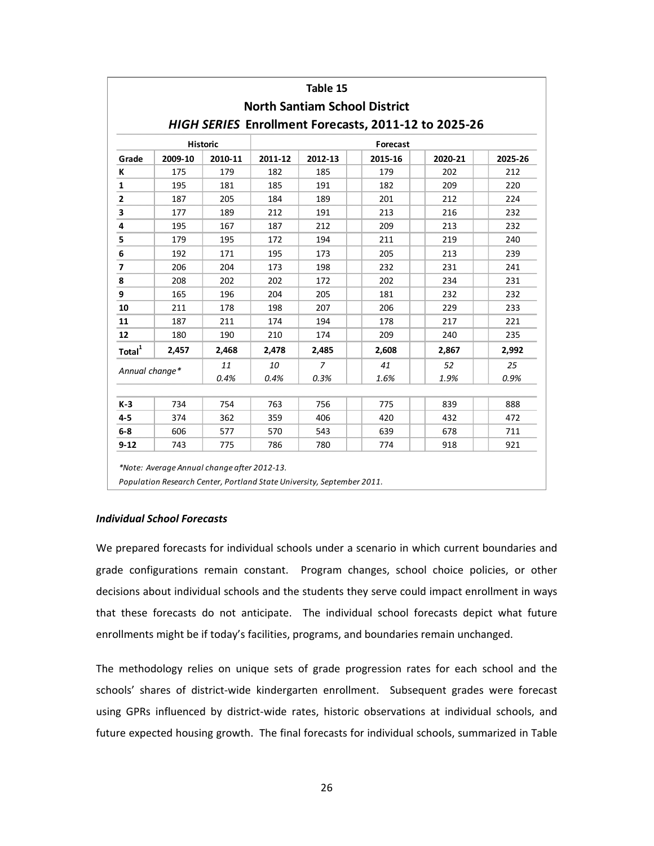|                             |                                                           |            |            | Table 15                                                                             |  |            |                                                      |         |  |  |  |
|-----------------------------|-----------------------------------------------------------|------------|------------|--------------------------------------------------------------------------------------|--|------------|------------------------------------------------------|---------|--|--|--|
|                             |                                                           |            |            | <b>North Santiam School District</b>                                                 |  |            |                                                      |         |  |  |  |
|                             |                                                           |            |            |                                                                                      |  |            | HIGH SERIES Enrollment Forecasts, 2011-12 to 2025-26 |         |  |  |  |
| <b>Historic</b><br>Forecast |                                                           |            |            |                                                                                      |  |            |                                                      |         |  |  |  |
| Grade                       | 2009-10                                                   | 2010-11    | 2011-12    | 2012-13                                                                              |  | 2015-16    | 2020-21                                              | 2025-26 |  |  |  |
| К                           | 175                                                       | 179        | 182        | 185                                                                                  |  | 179        | 202                                                  | 212     |  |  |  |
| $\mathbf{1}$                | 195                                                       | 181        | 185        | 191                                                                                  |  | 182        | 209                                                  | 220     |  |  |  |
| $\mathbf{2}$                | 187                                                       | 205        | 184        | 189                                                                                  |  | 201        | 212                                                  | 224     |  |  |  |
| 3                           | 177                                                       | 189        | 212        | 191                                                                                  |  | 213        | 216                                                  | 232     |  |  |  |
| 4                           | 195                                                       | 167        | 187        | 212                                                                                  |  | 209        | 213                                                  | 232     |  |  |  |
| 5                           | 179                                                       | 195        | 172        | 194                                                                                  |  | 211        | 219                                                  | 240     |  |  |  |
| 6                           | 192                                                       | 171        | 195        | 173                                                                                  |  | 205        | 213                                                  | 239     |  |  |  |
| $\overline{\phantom{a}}$    | 206                                                       | 204        | 173        | 198                                                                                  |  | 232        | 231                                                  | 241     |  |  |  |
| 8                           | 208                                                       | 202        | 202        | 172                                                                                  |  | 202        | 234                                                  | 231     |  |  |  |
| 9                           | 165                                                       | 196        | 204        | 205                                                                                  |  | 181        | 232                                                  | 232     |  |  |  |
| 10                          | 211                                                       | 178        | 198        | 207                                                                                  |  | 206        | 229                                                  | 233     |  |  |  |
| 11                          | 187                                                       | 211        | 174        | 194                                                                                  |  | 178        | 217                                                  | 221     |  |  |  |
| 12                          | 180                                                       | 190        | 210        | 174                                                                                  |  | 209        | 240                                                  | 235     |  |  |  |
| Total <sup>1</sup>          | 2,457                                                     | 2,468      | 2,478      | 2,485                                                                                |  | 2,608      | 2,867                                                | 2,992   |  |  |  |
| Annual change*              |                                                           | 11         | 10         | $\overline{z}$                                                                       |  | 41         | 52                                                   | 25      |  |  |  |
|                             |                                                           | 0.4%       | 0.4%       | 0.3%                                                                                 |  | 1.6%       | 1.9%                                                 | 0.9%    |  |  |  |
| $K-3$                       | 734                                                       | 754        | 763        | 756                                                                                  |  | 775        | 839                                                  | 888     |  |  |  |
| $4 - 5$                     | 374                                                       | 362        | 359        | 406                                                                                  |  | 420        | 432                                                  | 472     |  |  |  |
|                             |                                                           |            |            |                                                                                      |  |            |                                                      | 711     |  |  |  |
|                             |                                                           |            |            |                                                                                      |  |            |                                                      | 921     |  |  |  |
| $6-8$<br>$9 - 12$           | 606<br>743<br>*Note: Average Annual change after 2012-13. | 577<br>775 | 570<br>786 | 543<br>780<br>Population Research Center, Portland State University, September 2011. |  | 639<br>774 | 678<br>918                                           |         |  |  |  |

#### *Individual School Forecasts*

We prepared forecasts for individual schools under a scenario in which current boundaries and grade configurations remain constant. Program changes, school choice policies, or other decisions about individual schools and the students they serve could impact enrollment in ways that these forecasts do not anticipate. The individual school forecasts depict what future enrollments might be if today's facilities, programs, and boundaries remain unchanged.

The methodology relies on unique sets of grade progression rates for each school and the schools' shares of district-wide kindergarten enrollment. Subsequent grades were forecast using GPRs influenced by district-wide rates, historic observations at individual schools, and future expected housing growth. The final forecasts for individual schools, summarized in Table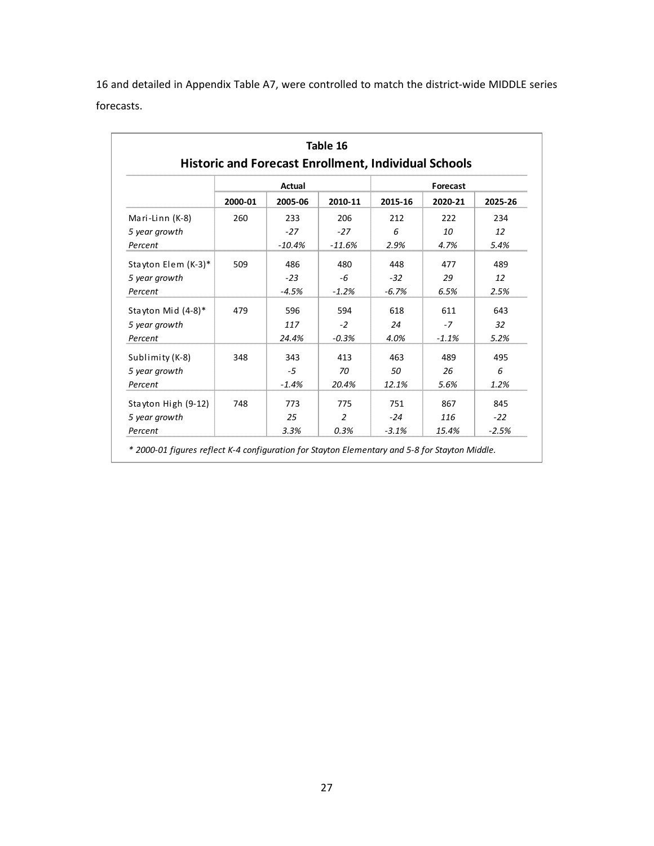16 and detailed in Appendix Table A7, were controlled to match the district‐wide MIDDLE series forecasts.

| Table 16<br><b>Historic and Forecast Enrollment, Individual Schools</b> |         |               |          |         |          |         |  |  |  |  |
|-------------------------------------------------------------------------|---------|---------------|----------|---------|----------|---------|--|--|--|--|
|                                                                         |         | <b>Actual</b> |          |         | Forecast |         |  |  |  |  |
|                                                                         | 2000-01 | 2005-06       | 2010-11  | 2015-16 | 2020-21  | 2025-26 |  |  |  |  |
| Mari-Linn (K-8)                                                         | 260     | 233           | 206      | 212     | 222      | 234     |  |  |  |  |
| 5 year growth                                                           |         | $-27$         | $-27$    | 6       | 10       | 12      |  |  |  |  |
| Percent                                                                 |         | $-10.4%$      | $-11.6%$ | 2.9%    | 4.7%     | 5.4%    |  |  |  |  |
| Stayton Elem (K-3)*                                                     | 509     | 486           | 480      | 448     | 477      | 489     |  |  |  |  |
| 5 year growth                                                           |         | $-23$         | -6       | $-32$   | 29       | 12      |  |  |  |  |
| Percent                                                                 |         | $-4.5%$       | $-1.2%$  | $-6.7%$ | 6.5%     | 2.5%    |  |  |  |  |
| Stayton Mid (4-8)*                                                      | 479     | 596           | 594      | 618     | 611      | 643     |  |  |  |  |
| 5 year growth                                                           |         | 117           | $-2$     | 24      | $-7$     | 32      |  |  |  |  |
| Percent                                                                 |         | 24.4%         | $-0.3%$  | 4.0%    | $-1.1%$  | 5.2%    |  |  |  |  |
| Sublimity (K-8)                                                         | 348     | 343           | 413      | 463     | 489      | 495     |  |  |  |  |
| 5 year growth                                                           |         | -5            | 70       | 50      | 26       | 6       |  |  |  |  |
| Percent                                                                 |         | $-1.4%$       | 20.4%    | 12.1%   | 5.6%     | 1.2%    |  |  |  |  |
| Stayton High (9-12)                                                     | 748     | 773           | 775      | 751     | 867      | 845     |  |  |  |  |
| 5 year growth                                                           |         | 25            | 2        | $-24$   | 116      | $-22$   |  |  |  |  |
| Percent                                                                 |         | 3.3%          | 0.3%     | $-3.1%$ | 15.4%    | $-2.5%$ |  |  |  |  |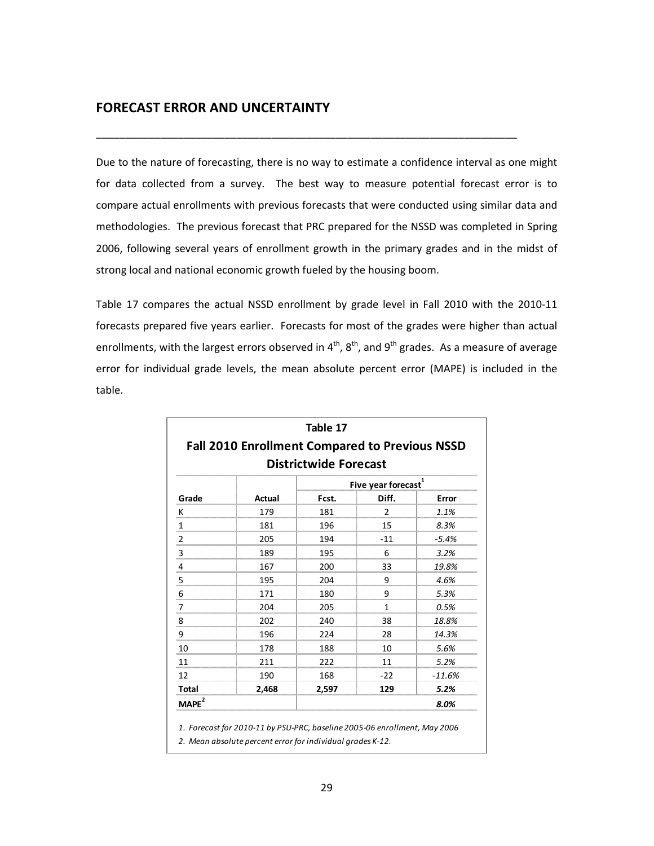### **FORECAST ERROR AND UNCERTAINTY**

Due to the nature of forecasting, there is no way to estimate a confidence interval as one might for data collected from a survey. The best way to measure potential forecast error is to compare actual enrollments with previous forecasts that were conducted using similar data and methodologies. The previous forecast that PRC prepared for the NSSD was completed in Spring 2006, following several years of enrollment growth in the primary grades and in the midst of strong local and national economic growth fueled by the housing boom.

\_\_\_\_\_\_\_\_\_\_\_\_\_\_\_\_\_\_\_\_\_\_\_\_\_\_\_\_\_\_\_\_\_\_\_\_\_\_\_\_\_\_\_\_\_\_\_\_\_\_\_\_\_\_\_\_\_\_\_\_\_\_\_\_\_\_\_\_\_\_\_\_

Table 17 compares the actual NSSD enrollment by grade level in Fall 2010 with the 2010‐11 forecasts prepared five years earlier. Forecasts for most of the grades were higher than actual enrollments, with the largest errors observed in  $4^{th}$ ,  $8^{th}$ , and  $9^{th}$  grades. As a measure of average error for individual grade levels, the mean absolute percent error (MAPE) is included in the table.

|                         | <b>Fall 2010 Enrollment Compared to Previous NSSD</b> | Table 17                     |                                 |          |
|-------------------------|-------------------------------------------------------|------------------------------|---------------------------------|----------|
|                         |                                                       | <b>Districtwide Forecast</b> |                                 |          |
|                         |                                                       |                              | Five year forecast <sup>1</sup> |          |
| Grade                   | Actual                                                | Fcst.                        | Diff.                           | Error    |
| К                       | 179                                                   | 181                          | $\overline{2}$                  | 1.1%     |
| $\mathbf{1}$            | 181                                                   | 196                          | 15                              | 8.3%     |
| $\overline{\mathbf{c}}$ | 205                                                   | 194                          | $-11$                           | $-5.4%$  |
| $\mathsf 3$             | 189                                                   | 195                          | 6                               | 3.2%     |
| $\overline{4}$          | 167                                                   | 200                          | 33                              | 19.8%    |
| 5                       | 195                                                   | 204                          | 9                               | 4.6%     |
| 6                       | 171                                                   | 180                          | 9                               | 5.3%     |
| 7                       | 204                                                   | 205                          | $\mathbf{1}$                    | 0.5%     |
| 8                       | 202                                                   | 240                          | 38                              | 18.8%    |
| 9                       | 196                                                   | 224                          | 28                              | 14.3%    |
| 10                      | 178                                                   | 188                          | 10                              | 5.6%     |
| 11                      | 211                                                   | 222                          | 11                              | 5.2%     |
| 12                      | 190                                                   | 168                          | $-22$                           | $-11.6%$ |
| <b>Total</b>            | 2,468                                                 | 2,597                        | 129                             | 5.2%     |
| MAPE <sup>2</sup>       |                                                       |                              |                                 | 8.0%     |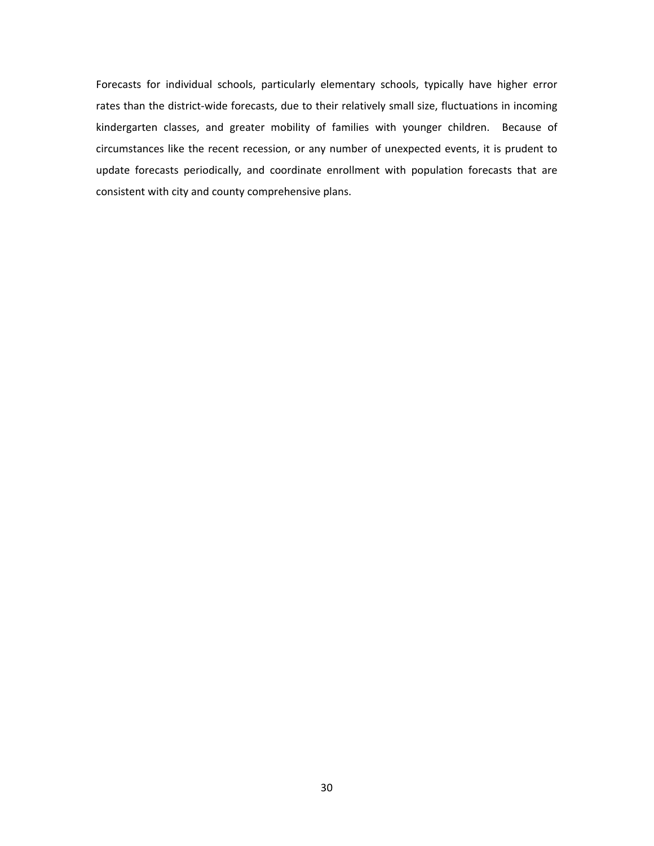Forecasts for individual schools, particularly elementary schools, typically have higher error rates than the district-wide forecasts, due to their relatively small size, fluctuations in incoming kindergarten classes, and greater mobility of families with younger children. Because of circumstances like the recent recession, or any number of unexpected events, it is prudent to update forecasts periodically, and coordinate enrollment with population forecasts that are consistent with city and county comprehensive plans.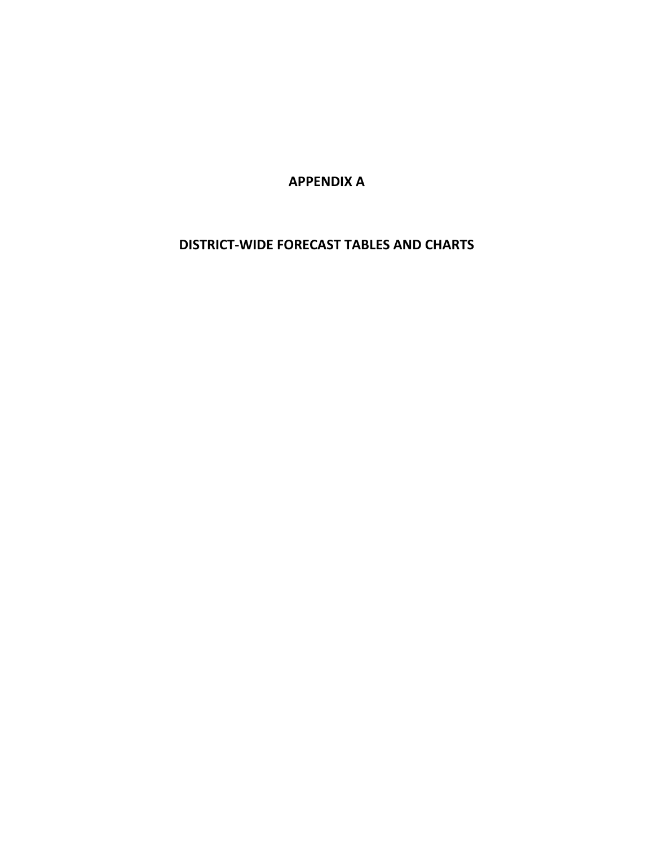**APPENDIX A**

**DISTRICT‐WIDE FORECAST TABLES AND CHARTS**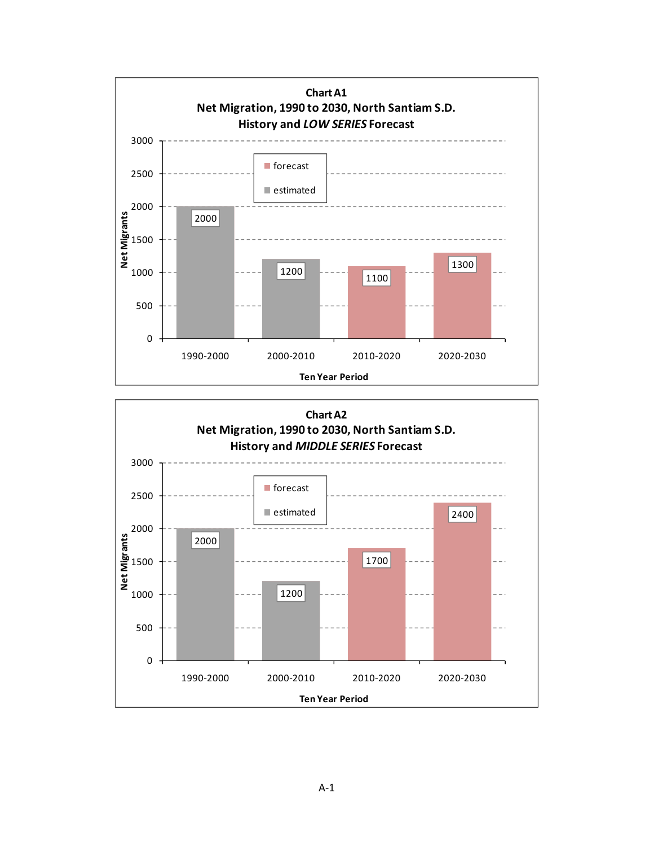

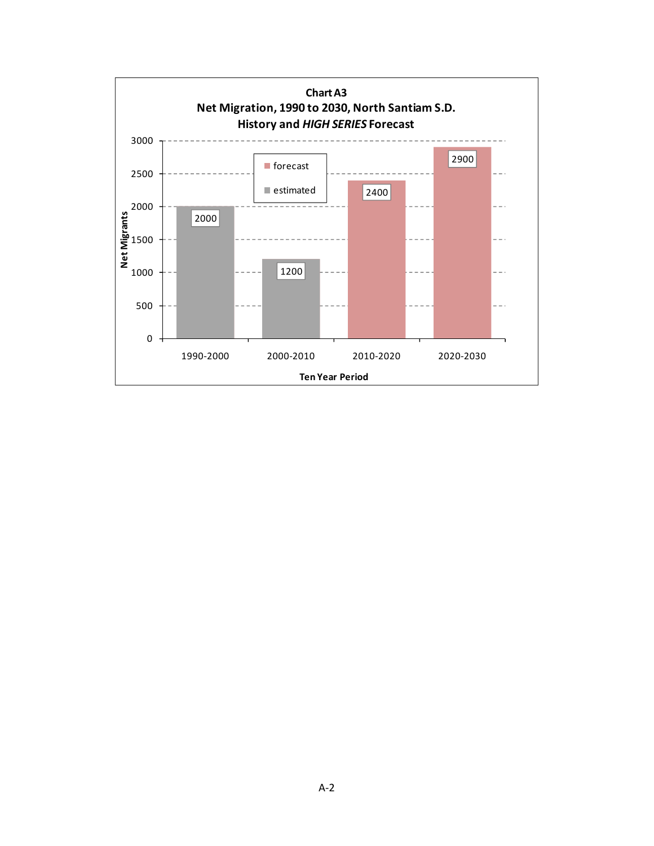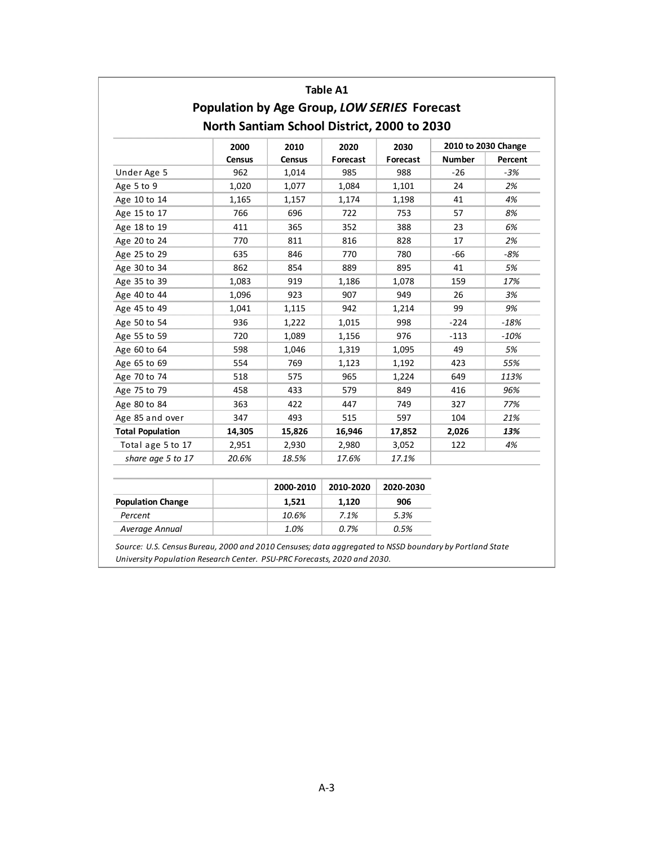|                                                                                             |               |               | <b>Table A1</b> |          |               |         |  |  |  |  |  |
|---------------------------------------------------------------------------------------------|---------------|---------------|-----------------|----------|---------------|---------|--|--|--|--|--|
| Population by Age Group, LOW SERIES Forecast<br>North Santiam School District, 2000 to 2030 |               |               |                 |          |               |         |  |  |  |  |  |
| 2010 to 2030 Change<br>2000<br>2010<br>2020<br>2030                                         |               |               |                 |          |               |         |  |  |  |  |  |
|                                                                                             | <b>Census</b> | <b>Census</b> | Forecast        | Forecast | <b>Number</b> | Percent |  |  |  |  |  |
| Under Age 5                                                                                 | 962           | 1,014         | 985             | 988      | $-26$         | $-3%$   |  |  |  |  |  |
| Age 5 to 9                                                                                  | 1,020         | 1,077         | 1,084           | 1,101    | 24            | 2%      |  |  |  |  |  |
| Age 10 to 14                                                                                | 1,165         | 1,157         | 1,174           | 1,198    | 41            | 4%      |  |  |  |  |  |
| Age 15 to 17                                                                                | 766           | 696           | 722             | 753      | 57            | 8%      |  |  |  |  |  |
| Age 18 to 19                                                                                | 411           | 365           | 352             | 388      | 23            | 6%      |  |  |  |  |  |
| Age 20 to 24                                                                                | 770           | 811           | 816             | 828      | 17            | 2%      |  |  |  |  |  |
| Age 25 to 29                                                                                | 635           | 846           | 770             | 780      | $-66$         | $-8%$   |  |  |  |  |  |
| Age 30 to 34                                                                                | 862           | 854           | 889             | 895      | 41            | 5%      |  |  |  |  |  |
| Age 35 to 39                                                                                | 1,083         | 919           | 1,186           | 1,078    | 159           | 17%     |  |  |  |  |  |
| Age 40 to 44                                                                                | 1,096         | 923           | 907             | 949      | 26            | 3%      |  |  |  |  |  |
| Age 45 to 49                                                                                | 1,041         | 1,115         | 942             | 1,214    | 99            | 9%      |  |  |  |  |  |
| Age 50 to 54                                                                                | 936           | 1,222         | 1,015           | 998      | $-224$        | $-18%$  |  |  |  |  |  |
| Age 55 to 59                                                                                | 720           | 1,089         | 1,156           | 976      | $-113$        | $-10%$  |  |  |  |  |  |
| Age 60 to 64                                                                                | 598           | 1,046         | 1,319           | 1,095    | 49            | 5%      |  |  |  |  |  |
| Age 65 to 69                                                                                | 554           | 769           | 1,123           | 1,192    | 423           | 55%     |  |  |  |  |  |
| Age 70 to 74                                                                                | 518           | 575           | 965             | 1,224    | 649           | 113%    |  |  |  |  |  |
| Age 75 to 79                                                                                | 458           | 433           | 579             | 849      | 416           | 96%     |  |  |  |  |  |
| Age 80 to 84                                                                                | 363           | 422           | 447             | 749      | 327           | 77%     |  |  |  |  |  |
| Age 85 and over                                                                             | 347           | 493           | 515             | 597      | 104           | 21%     |  |  |  |  |  |
| <b>Total Population</b>                                                                     | 14,305        | 15,826        | 16,946          | 17,852   | 2,026         | 13%     |  |  |  |  |  |
| Total age 5 to 17                                                                           | 2,951         | 2,930         | 2,980           | 3,052    | 122           | 4%      |  |  |  |  |  |
| share age 5 to 17                                                                           | 20.6%         | 18.5%         | 17.6%           | 17.1%    |               |         |  |  |  |  |  |

|                          | 2000-2010 | 2010-2020 | 2020-2030 |
|--------------------------|-----------|-----------|-----------|
| <b>Population Change</b> | 1.521     | 1.120     | 906       |
| Percent                  | 10.6%     | 7.1%      | 5.3%      |
| Average Annual           | 1.0%      | 0.7%      | 0.5%      |

*Source: U.S. Census Bureau, 2000 and 2010 Censuses; data aggregated to NSSD boundary by Portland State University Population Research Center. PSU‐PRC Forecasts, 2020 and 2030.*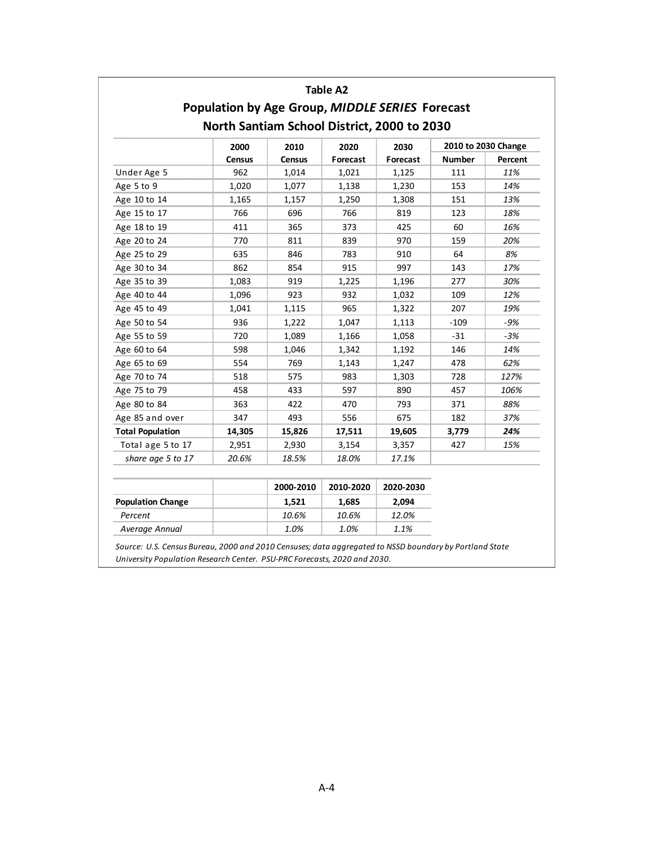|                         |                                                 |                                             | <b>Table A2</b> |          |               |         |  |  |  |  |
|-------------------------|-------------------------------------------------|---------------------------------------------|-----------------|----------|---------------|---------|--|--|--|--|
|                         | Population by Age Group, MIDDLE SERIES Forecast |                                             |                 |          |               |         |  |  |  |  |
|                         | North Santiam School District, 2000 to 2030     |                                             |                 |          |               |         |  |  |  |  |
|                         | 2000                                            | 2010 to 2030 Change<br>2010<br>2020<br>2030 |                 |          |               |         |  |  |  |  |
|                         | <b>Census</b>                                   | <b>Census</b>                               | Forecast        | Forecast | <b>Number</b> | Percent |  |  |  |  |
| Under Age 5             | 962                                             | 1,014                                       | 1,021           | 1,125    | 111           | 11%     |  |  |  |  |
| Age 5 to 9              | 1,020                                           | 1,077                                       | 1,138           | 1,230    | 153           | 14%     |  |  |  |  |
| Age 10 to 14            | 1,165                                           | 1,157                                       | 1,250           | 1,308    | 151           | 13%     |  |  |  |  |
| Age 15 to 17            | 766                                             | 696                                         | 766             | 819      | 123           | 18%     |  |  |  |  |
| Age 18 to 19            | 411                                             | 365                                         | 373             | 425      | 60            | 16%     |  |  |  |  |
| Age 20 to 24            | 770                                             | 811                                         | 839             | 970      | 159           | 20%     |  |  |  |  |
| Age 25 to 29            | 635                                             | 846                                         | 783             | 910      | 64            | 8%      |  |  |  |  |
| Age 30 to 34            | 862                                             | 854                                         | 915             | 997      | 143           | 17%     |  |  |  |  |
| Age 35 to 39            | 1,083                                           | 919                                         | 1,225           | 1,196    | 277           | 30%     |  |  |  |  |
| Age 40 to 44            | 1,096                                           | 923                                         | 932             | 1,032    | 109           | 12%     |  |  |  |  |
| Age 45 to 49            | 1,041                                           | 1,115                                       | 965             | 1,322    | 207           | 19%     |  |  |  |  |
| Age 50 to 54            | 936                                             | 1,222                                       | 1,047           | 1,113    | $-109$        | $-9%$   |  |  |  |  |
| Age 55 to 59            | 720                                             | 1,089                                       | 1,166           | 1,058    | $-31$         | $-3%$   |  |  |  |  |
| Age 60 to 64            | 598                                             | 1,046                                       | 1,342           | 1,192    | 146           | 14%     |  |  |  |  |
| Age 65 to 69            | 554                                             | 769                                         | 1,143           | 1,247    | 478           | 62%     |  |  |  |  |
| Age 70 to 74            | 518                                             | 575                                         | 983             | 1,303    | 728           | 127%    |  |  |  |  |
| Age 75 to 79            | 458                                             | 433                                         | 597             | 890      | 457           | 106%    |  |  |  |  |
| Age 80 to 84            | 363                                             | 422                                         | 470             | 793      | 371           | 88%     |  |  |  |  |
| Age 85 and over         | 347                                             | 493                                         | 556             | 675      | 182           | 37%     |  |  |  |  |
| <b>Total Population</b> | 14,305                                          | 15,826                                      | 17,511          | 19,605   | 3,779         | 24%     |  |  |  |  |
| Total age 5 to 17       | 2,951                                           | 2,930                                       | 3,154           | 3,357    | 427           | 15%     |  |  |  |  |
| share age 5 to 17       | 20.6%                                           | 18.5%                                       | 18.0%           | 17.1%    |               |         |  |  |  |  |

|                          | 2000-2010 | 2010-2020 | 2020-2030 |
|--------------------------|-----------|-----------|-----------|
| <b>Population Change</b> | 1.521     | 1.685     | 2.094     |
| Percent                  | 10.6%     | 10.6%     | 12.0%     |
| Average Annual           | 1.0%      | 1.0%      | 1.1%      |

*Source: U.S. Census Bureau, 2000 and 2010 Censuses; data aggregated to NSSD boundary by Portland State University Population Research Center. PSU‐PRC Forecasts, 2020 and 2030.*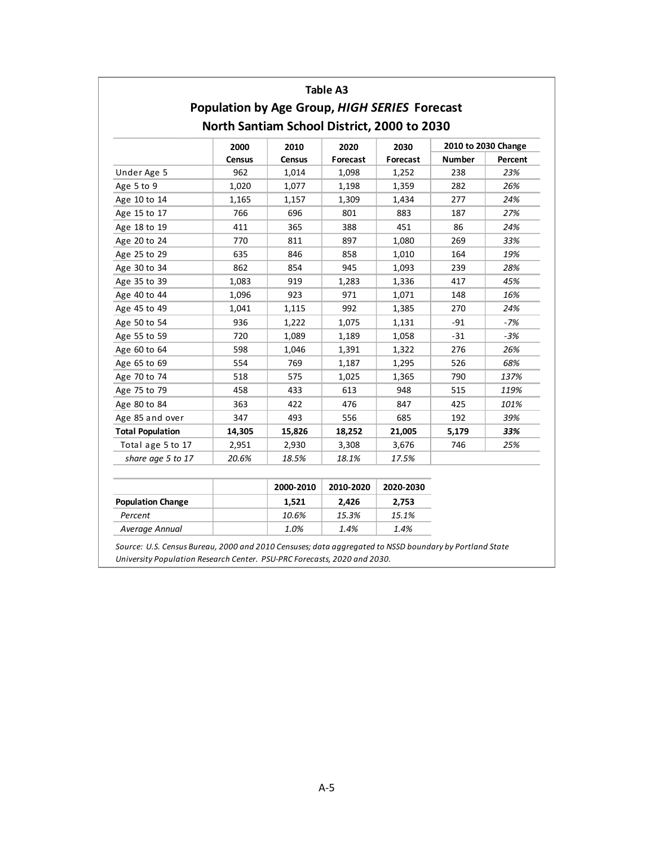|                         |                                                      |        | Table A3 |          |               |                     |
|-------------------------|------------------------------------------------------|--------|----------|----------|---------------|---------------------|
|                         | <b>Population by Age Group, HIGH SERIES Forecast</b> |        |          |          |               |                     |
|                         | North Santiam School District, 2000 to 2030          |        |          |          |               |                     |
|                         | 2000                                                 | 2010   | 2020     | 2030     |               | 2010 to 2030 Change |
|                         | Census                                               | Census | Forecast | Forecast | <b>Number</b> | Percent             |
| Under Age 5             | 962                                                  | 1,014  | 1,098    | 1,252    | 238           | 23%                 |
| Age 5 to 9              | 1,020                                                | 1,077  | 1,198    | 1,359    | 282           | 26%                 |
| Age 10 to 14            | 1,165                                                | 1,157  | 1,309    | 1,434    | 277           | 24%                 |
| Age 15 to 17            | 766                                                  | 696    | 801      | 883      | 187           | 27%                 |
| Age 18 to 19            | 411                                                  | 365    | 388      | 451      | 86            | 24%                 |
| Age 20 to 24            | 770                                                  | 811    | 897      | 1,080    | 269           | 33%                 |
| Age 25 to 29            | 635                                                  | 846    | 858      | 1,010    | 164           | 19%                 |
| Age 30 to 34            | 862                                                  | 854    | 945      | 1,093    | 239           | 28%                 |
| Age 35 to 39            | 1,083                                                | 919    | 1,283    | 1,336    | 417           | 45%                 |
| Age 40 to 44            | 1,096                                                | 923    | 971      | 1,071    | 148           | 16%                 |
| Age 45 to 49            | 1,041                                                | 1,115  | 992      | 1,385    | 270           | 24%                 |
| Age 50 to 54            | 936                                                  | 1,222  | 1,075    | 1,131    | $-91$         | $-7%$               |
| Age 55 to 59            | 720                                                  | 1,089  | 1,189    | 1,058    | $-31$         | $-3%$               |
| Age 60 to 64            | 598                                                  | 1,046  | 1,391    | 1,322    | 276           | 26%                 |
| Age 65 to 69            | 554                                                  | 769    | 1,187    | 1,295    | 526           | 68%                 |
| Age 70 to 74            | 518                                                  | 575    | 1,025    | 1,365    | 790           | 137%                |
| Age 75 to 79            | 458                                                  | 433    | 613      | 948      | 515           | 119%                |
| Age 80 to 84            | 363                                                  | 422    | 476      | 847      | 425           | 101%                |
| Age 85 and over         | 347                                                  | 493    | 556      | 685      | 192           | 39%                 |
| <b>Total Population</b> | 14,305                                               | 15,826 | 18,252   | 21,005   | 5,179         | 33%                 |
| Total age 5 to 17       | 2,951                                                | 2,930  | 3,308    | 3,676    | 746           | 25%                 |
| share age 5 to 17       | 20.6%                                                | 18.5%  | 18.1%    | 17.5%    |               |                     |

|                          | 2000-2010 | 2010-2020 | 2020-2030 |
|--------------------------|-----------|-----------|-----------|
| <b>Population Change</b> | 1.521     | 2.426     | 2.753     |
| Percent                  | 10.6%     | 15.3%     | 15.1%     |
| Average Annual           | 1.0%      | 1.4%      | 1.4%      |

*Source: U.S. Census Bureau, 2000 and 2010 Censuses; data aggregated to NSSD boundary by Portland State University Population Research Center. PSU‐PRC Forecasts, 2020 and 2030.*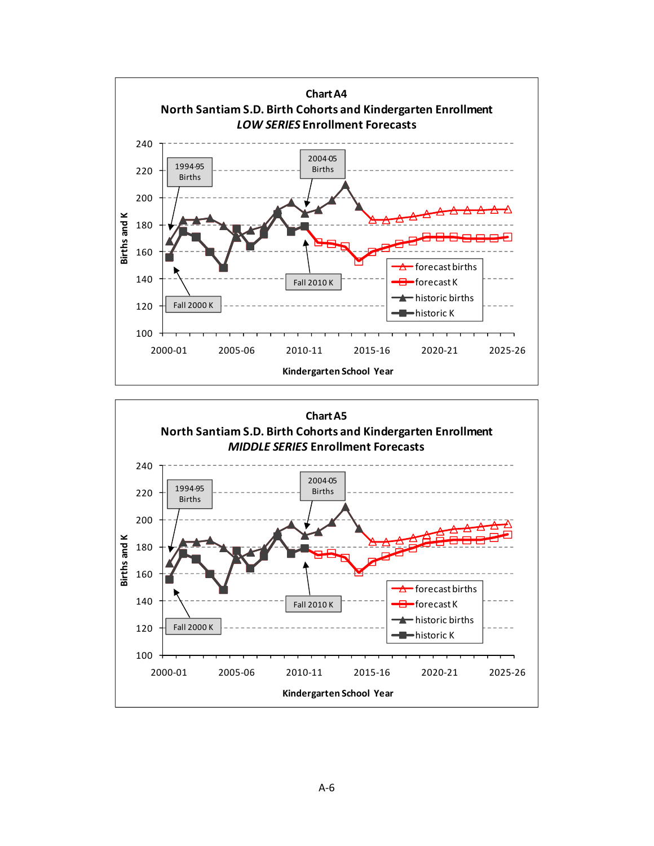

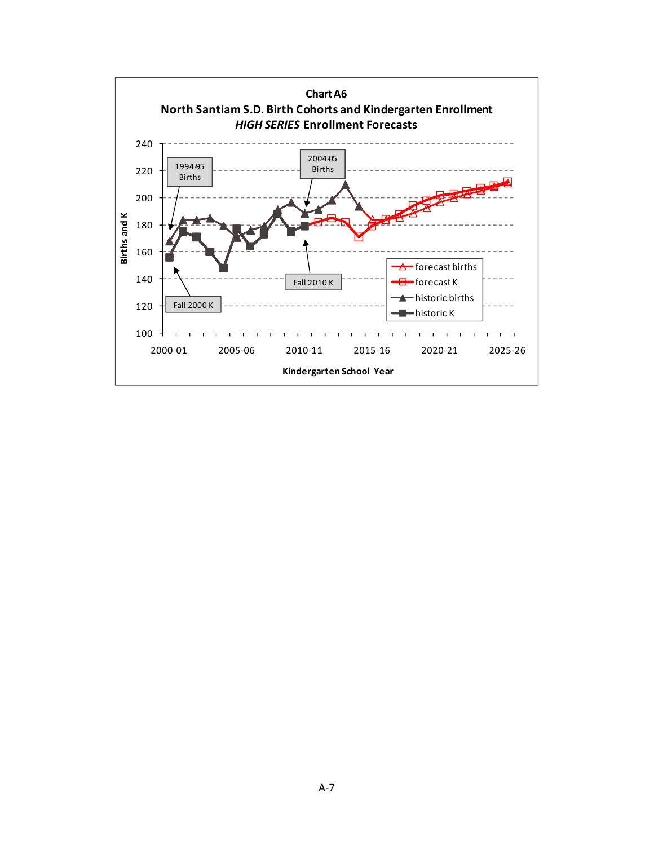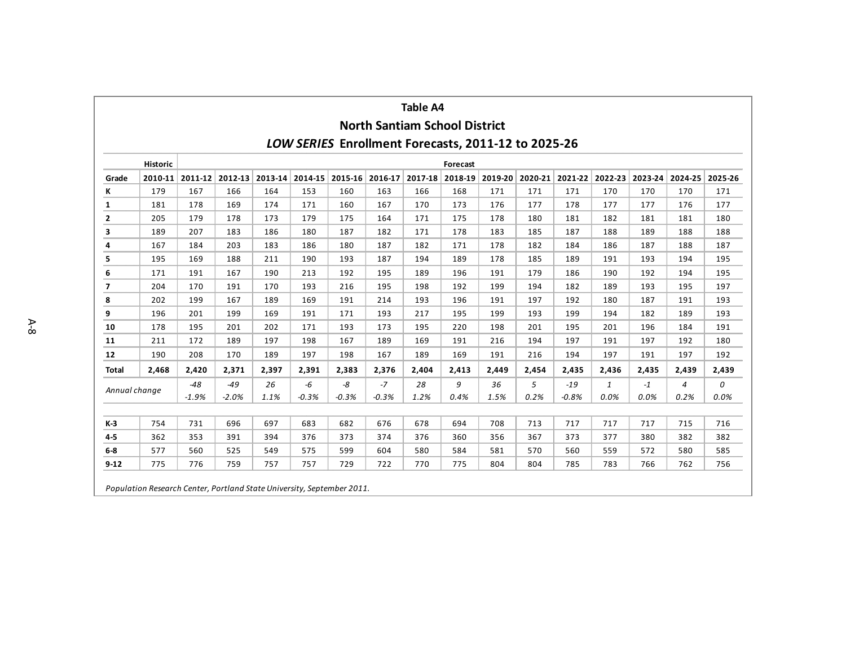| <b>Table A4</b> |                                                                                             |                  |                  |             |               |               |                         |            |                 |            |           |                  |                         |              |                         |           |
|-----------------|---------------------------------------------------------------------------------------------|------------------|------------------|-------------|---------------|---------------|-------------------------|------------|-----------------|------------|-----------|------------------|-------------------------|--------------|-------------------------|-----------|
|                 | <b>North Santiam School District</b><br>LOW SERIES Enrollment Forecasts, 2011-12 to 2025-26 |                  |                  |             |               |               |                         |            |                 |            |           |                  |                         |              |                         |           |
|                 |                                                                                             |                  |                  |             |               |               |                         |            |                 |            |           |                  |                         |              |                         |           |
|                 | <b>Historic</b><br>Forecast                                                                 |                  |                  |             |               |               |                         |            |                 |            |           |                  |                         |              |                         |           |
| Grade           | $2010 - 11$                                                                                 |                  | 2011-12 2012-13  | $2013 - 14$ |               |               | 2014-15 2015-16 2016-17 |            | 2017-18 2018-19 | 2019-20    |           |                  | 2020-21 2021-22 2022-23 |              | 2023-24 2024-25 2025-26 |           |
| ĸ               | 179                                                                                         | 167              | 166              | 164         | 153           | 160           | 163                     | 166        | 168             | 171        | 171       | 171              | 170                     | 170          | 170                     | 171       |
| $\mathbf{1}$    | 181                                                                                         | 178              | 169              | 174         | 171           | 160           | 167                     | 170        | 173             | 176        | 177       | 178              | 177                     | 177          | 176                     | 177       |
| 2               | 205                                                                                         | 179              | 178              | 173         | 179           | 175           | 164                     | 171        | 175             | 178        | 180       | 181              | 182                     | 181          | 181                     | 180       |
| 3               | 189                                                                                         | 207              | 183              | 186         | 180           | 187           | 182                     | 171        | 178             | 183        | 185       | 187              | 188                     | 189          | 188                     | 188       |
| 4               | 167                                                                                         | 184              | 203              | 183         | 186           | 180           | 187                     | 182        | 171             | 178        | 182       | 184              | 186                     | 187          | 188                     | 187       |
| 5               | 195                                                                                         | 169              | 188              | 211         | 190           | 193           | 187                     | 194        | 189             | 178        | 185       | 189              | 191                     | 193          | 194                     | 195       |
| 6               | 171                                                                                         | 191              | 167              | 190         | 213           | 192           | 195                     | 189        | 196             | 191        | 179       | 186              | 190                     | 192          | 194                     | 195       |
| 7               | 204                                                                                         | 170              | 191              | 170         | 193           | 216           | 195                     | 198        | 192             | 199        | 194       | 182              | 189                     | 193          | 195                     | 197       |
| 8               | 202                                                                                         | 199              | 167              | 189         | 169           | 191           | 214                     | 193        | 196             | 191        | 197       | 192              | 180                     | 187          | 191                     | 193       |
| 9               | 196                                                                                         | 201              | 199              | 169         | 191           | 171           | 193                     | 217        | 195             | 199        | 193       | 199              | 194                     | 182          | 189                     | 193       |
| 10              | 178                                                                                         | 195              | 201              | 202         | 171           | 193           | 173                     | 195        | 220             | 198        | 201       | 195              | 201                     | 196          | 184                     | 191       |
| 11              | 211                                                                                         | 172              | 189              | 197         | 198           | 167           | 189                     | 169        | 191             | 216        | 194       | 197              | 191                     | 197          | 192                     | 180       |
| 12              | 190                                                                                         | 208              | 170              | 189         | 197           | 198           | 167                     | 189        | 169             | 191        | 216       | 194              | 197                     | 191          | 197                     | 192       |
| <b>Total</b>    | 2,468                                                                                       | 2,420            | 2,371            | 2,397       | 2,391         | 2,383         | 2,376                   | 2,404      | 2,413           | 2,449      | 2,454     | 2,435            | 2,436                   | 2,435        | 2,439                   | 2,439     |
| Annual change   |                                                                                             | $-48$<br>$-1.9%$ | $-49$<br>$-2.0%$ | 26<br>1.1%  | -6<br>$-0.3%$ | -8<br>$-0.3%$ | $-7$<br>$-0.3%$         | 28<br>1.2% | 9<br>0.4%       | 36<br>1.5% | 5<br>0.2% | $-19$<br>$-0.8%$ | $\mathbf{1}$<br>0.0%    | $-1$<br>0.0% | $\overline{4}$<br>0.2%  | 0<br>0.0% |
| $K-3$           | 754                                                                                         | 731              | 696              | 697         | 683           | 682           | 676                     | 678        | 694             | 708        | 713       | 717              | 717                     | 717          | 715                     | 716       |
| $4 - 5$         | 362                                                                                         | 353              | 391              | 394         | 376           | 373           | 374                     | 376        | 360             | 356        | 367       | 373              | 377                     | 380          | 382                     | 382       |
| $6-8$           | 577                                                                                         | 560              | 525              | 549         | 575           | 599           | 604                     | 580        | 584             | 581        | 570       | 560              | 559                     | 572          | 580                     | 585       |
| $9 - 12$        | 775                                                                                         | 776              | 759              | 757         | 757           | 729           | 722                     | 770        | 775             | 804        | 804       | 785              | 783                     | 766          | 762                     | 756       |
|                 | Population Research Center, Portland State University, September 2011.                      |                  |                  |             |               |               |                         |            |                 |            |           |                  |                         |              |                         |           |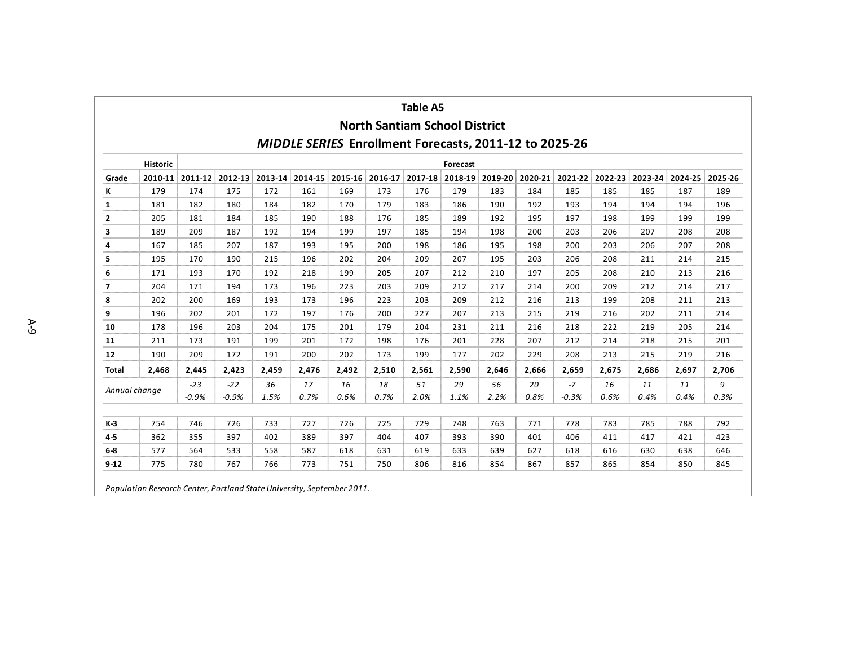| <b>Table A5</b>          |                                                                        |                  |                  |             |            |            |                         |            |                 |            |            |                 |                         |            |                         |           |
|--------------------------|------------------------------------------------------------------------|------------------|------------------|-------------|------------|------------|-------------------------|------------|-----------------|------------|------------|-----------------|-------------------------|------------|-------------------------|-----------|
|                          | <b>North Santiam School District</b>                                   |                  |                  |             |            |            |                         |            |                 |            |            |                 |                         |            |                         |           |
|                          | <b>MIDDLE SERIES Enrollment Forecasts, 2011-12 to 2025-26</b>          |                  |                  |             |            |            |                         |            |                 |            |            |                 |                         |            |                         |           |
|                          | <b>Historic</b><br>Forecast                                            |                  |                  |             |            |            |                         |            |                 |            |            |                 |                         |            |                         |           |
| Grade                    | 2010-11                                                                |                  | 2011-12 2012-13  | $2013 - 14$ |            |            | 2014-15 2015-16 2016-17 |            | 2017-18 2018-19 | 2019-20    |            |                 | 2020-21 2021-22 2022-23 |            | 2023-24 2024-25 2025-26 |           |
| Κ                        | 179                                                                    | 174              | 175              | 172         | 161        | 169        | 173                     | 176        | 179             | 183        | 184        | 185             | 185                     | 185        | 187                     | 189       |
| $\mathbf{1}$             | 181                                                                    | 182              | 180              | 184         | 182        | 170        | 179                     | 183        | 186             | 190        | 192        | 193             | 194                     | 194        | 194                     | 196       |
| 2                        | 205                                                                    | 181              | 184              | 185         | 190        | 188        | 176                     | 185        | 189             | 192        | 195        | 197             | 198                     | 199        | 199                     | 199       |
| 3                        | 189                                                                    | 209              | 187              | 192         | 194        | 199        | 197                     | 185        | 194             | 198        | 200        | 203             | 206                     | 207        | 208                     | 208       |
| 4                        | 167                                                                    | 185              | 207              | 187         | 193        | 195        | 200                     | 198        | 186             | 195        | 198        | 200             | 203                     | 206        | 207                     | 208       |
| 5                        | 195                                                                    | 170              | 190              | 215         | 196        | 202        | 204                     | 209        | 207             | 195        | 203        | 206             | 208                     | 211        | 214                     | 215       |
| 6                        | 171                                                                    | 193              | 170              | 192         | 218        | 199        | 205                     | 207        | 212             | 210        | 197        | 205             | 208                     | 210        | 213                     | 216       |
| $\overline{\phantom{a}}$ | 204                                                                    | 171              | 194              | 173         | 196        | 223        | 203                     | 209        | 212             | 217        | 214        | 200             | 209                     | 212        | 214                     | 217       |
| 8                        | 202                                                                    | 200              | 169              | 193         | 173        | 196        | 223                     | 203        | 209             | 212        | 216        | 213             | 199                     | 208        | 211                     | 213       |
| 9                        | 196                                                                    | 202              | 201              | 172         | 197        | 176        | 200                     | 227        | 207             | 213        | 215        | 219             | 216                     | 202        | 211                     | 214       |
| 10                       | 178                                                                    | 196              | 203              | 204         | 175        | 201        | 179                     | 204        | 231             | 211        | 216        | 218             | 222                     | 219        | 205                     | 214       |
| 11                       | 211                                                                    | 173              | 191              | 199         | 201        | 172        | 198                     | 176        | 201             | 228        | 207        | 212             | 214                     | 218        | 215                     | 201       |
| 12                       | 190                                                                    | 209              | 172              | 191         | 200        | 202        | 173                     | 199        | 177             | 202        | 229        | 208             | 213                     | 215        | 219                     | 216       |
| <b>Total</b>             | 2,468                                                                  | 2,445            | 2.423            | 2,459       | 2,476      | 2,492      | 2,510                   | 2,561      | 2,590           | 2,646      | 2,666      | 2,659           | 2,675                   | 2.686      | 2,697                   | 2,706     |
| Annual change            |                                                                        | $-23$<br>$-0.9%$ | $-22$<br>$-0.9%$ | 36<br>1.5%  | 17<br>0.7% | 16<br>0.6% | 18<br>0.7%              | 51<br>2.0% | 29<br>1.1%      | 56<br>2.2% | 20<br>0.8% | $-7$<br>$-0.3%$ | 16<br>0.6%              | 11<br>0.4% | 11<br>0.4%              | 9<br>0.3% |
| K-3                      | 754                                                                    | 746              | 726              | 733         | 727        | 726        | 725                     | 729        | 748             | 763        | 771        | 778             | 783                     | 785        | 788                     | 792       |
| $4-5$                    | 362                                                                    | 355              | 397              | 402         | 389        | 397        | 404                     | 407        | 393             | 390        | 401        | 406             | 411                     | 417        | 421                     | 423       |
| $6-8$                    | 577                                                                    | 564              | 533              | 558         | 587        | 618        | 631                     | 619        | 633             | 639        | 627        | 618             | 616                     | 630        | 638                     | 646       |
| $9 - 12$                 | 775                                                                    | 780              | 767              | 766         | 773        | 751        | 750                     | 806        | 816             | 854        | 867        | 857             | 865                     | 854        | 850                     | 845       |
|                          | Population Research Center, Portland State University, September 2011. |                  |                  |             |            |            |                         |            |                 |            |            |                 |                         |            |                         |           |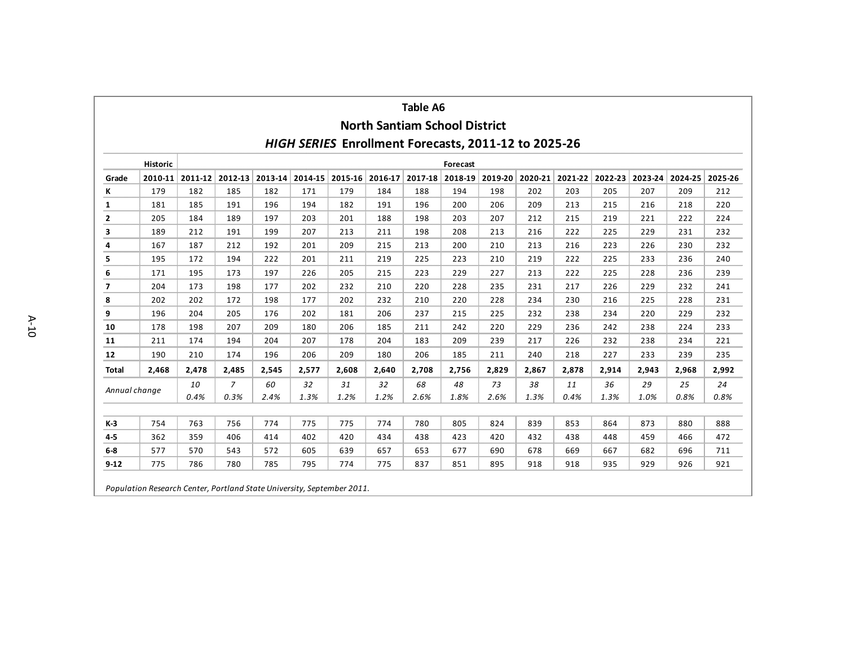| <b>Table A6</b> |                                                                        |            |                        |             |            |                 |                                      |            |                 |            |                 |            |            |            |                 |            |
|-----------------|------------------------------------------------------------------------|------------|------------------------|-------------|------------|-----------------|--------------------------------------|------------|-----------------|------------|-----------------|------------|------------|------------|-----------------|------------|
|                 |                                                                        |            |                        |             |            |                 | <b>North Santiam School District</b> |            |                 |            |                 |            |            |            |                 |            |
|                 | HIGH SERIES Enrollment Forecasts, 2011-12 to 2025-26                   |            |                        |             |            |                 |                                      |            |                 |            |                 |            |            |            |                 |            |
|                 | <b>Historic</b><br>Forecast                                            |            |                        |             |            |                 |                                      |            |                 |            |                 |            |            |            |                 |            |
| Grade           | $2010 - 11$                                                            |            | 2011-12 2012-13        | $2013 - 14$ |            | 2014-15 2015-16 | 2016-17                              |            | 2017-18 2018-19 | 2019-20    | 2020-21 2021-22 |            | 2022-23    |            | 2023-24 2024-25 | 2025-26    |
| К               | 179                                                                    | 182        | 185                    | 182         | 171        | 179             | 184                                  | 188        | 194             | 198        | 202             | 203        | 205        | 207        | 209             | 212        |
| 1               | 181                                                                    | 185        | 191                    | 196         | 194        | 182             | 191                                  | 196        | 200             | 206        | 209             | 213        | 215        | 216        | 218             | 220        |
| 2               | 205                                                                    | 184        | 189                    | 197         | 203        | 201             | 188                                  | 198        | 203             | 207        | 212             | 215        | 219        | 221        | 222             | 224        |
| 3               | 189                                                                    | 212        | 191                    | 199         | 207        | 213             | 211                                  | 198        | 208             | 213        | 216             | 222        | 225        | 229        | 231             | 232        |
| 4               | 167                                                                    | 187        | 212                    | 192         | 201        | 209             | 215                                  | 213        | 200             | 210        | 213             | 216        | 223        | 226        | 230             | 232        |
| 5               | 195                                                                    | 172        | 194                    | 222         | 201        | 211             | 219                                  | 225        | 223             | 210        | 219             | 222        | 225        | 233        | 236             | 240        |
| 6               | 171                                                                    | 195        | 173                    | 197         | 226        | 205             | 215                                  | 223        | 229             | 227        | 213             | 222        | 225        | 228        | 236             | 239        |
| 7               | 204                                                                    | 173        | 198                    | 177         | 202        | 232             | 210                                  | 220        | 228             | 235        | 231             | 217        | 226        | 229        | 232             | 241        |
| 8               | 202                                                                    | 202        | 172                    | 198         | 177        | 202             | 232                                  | 210        | 220             | 228        | 234             | 230        | 216        | 225        | 228             | 231        |
| 9               | 196                                                                    | 204        | 205                    | 176         | 202        | 181             | 206                                  | 237        | 215             | 225        | 232             | 238        | 234        | 220        | 229             | 232        |
| 10              | 178                                                                    | 198        | 207                    | 209         | 180        | 206             | 185                                  | 211        | 242             | 220        | 229             | 236        | 242        | 238        | 224             | 233        |
| 11              | 211                                                                    | 174        | 194                    | 204         | 207        | 178             | 204                                  | 183        | 209             | 239        | 217             | 226        | 232        | 238        | 234             | 221        |
| 12              | 190                                                                    | 210        | 174                    | 196         | 206        | 209             | 180                                  | 206        | 185             | 211        | 240             | 218        | 227        | 233        | 239             | 235        |
| <b>Total</b>    | 2,468                                                                  | 2,478      | 2,485                  | 2,545       | 2,577      | 2,608           | 2,640                                | 2,708      | 2,756           | 2,829      | 2,867           | 2,878      | 2,914      | 2,943      | 2,968           | 2,992      |
| Annual change   |                                                                        | 10<br>0.4% | $\overline{7}$<br>0.3% | 60<br>2.4%  | 32<br>1.3% | 31<br>1.2%      | 32<br>1.2%                           | 68<br>2.6% | 48<br>1.8%      | 73<br>2.6% | 38<br>1.3%      | 11<br>0.4% | 36<br>1.3% | 29<br>1.0% | 25<br>0.8%      | 24<br>0.8% |
| K-3             | 754                                                                    | 763        | 756                    | 774         | 775        | 775             | 774                                  | 780        | 805             | 824        | 839             | 853        | 864        | 873        | 880             | 888        |
| $4-5$           | 362                                                                    | 359        | 406                    | 414         | 402        | 420             | 434                                  | 438        | 423             | 420        | 432             | 438        | 448        | 459        | 466             | 472        |
| $6-8$           | 577                                                                    | 570        | 543                    | 572         | 605        | 639             | 657                                  | 653        | 677             | 690        | 678             | 669        | 667        | 682        | 696             | 711        |
| $9-12$          | 775                                                                    | 786        | 780                    | 785         | 795        | 774             | 775                                  | 837        | 851             | 895        | 918             | 918        | 935        | 929        | 926             | 921        |
|                 | Population Research Center, Portland State University, September 2011. |            |                        |             |            |                 |                                      |            |                 |            |                 |            |            |            |                 |            |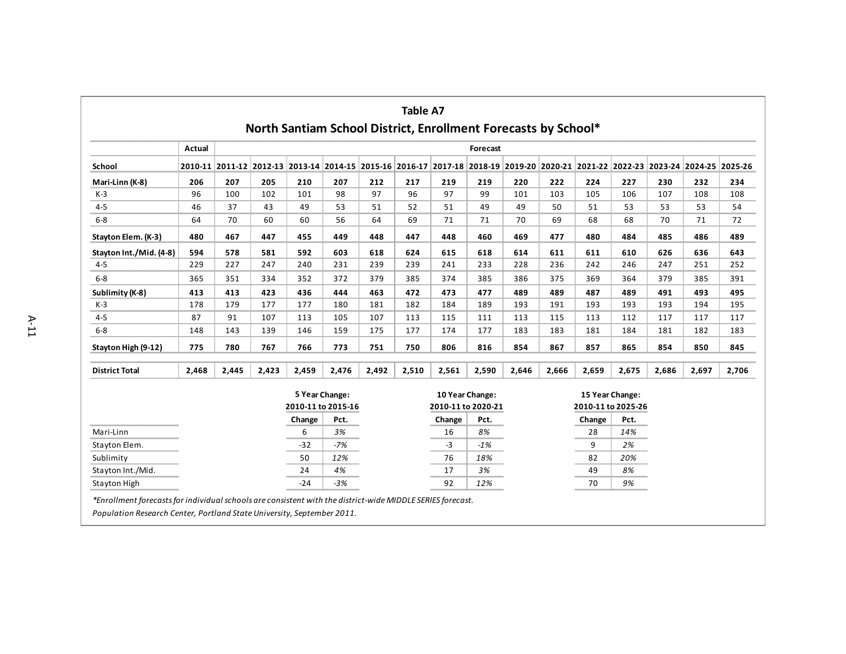|                         | <b>Table A7</b><br>North Santiam School District, Enrollment Forecasts by School* |       |       |                    |                |                                                                                                                                 |       |                    |                 |       |       |                                       |       |       |       |       |
|-------------------------|-----------------------------------------------------------------------------------|-------|-------|--------------------|----------------|---------------------------------------------------------------------------------------------------------------------------------|-------|--------------------|-----------------|-------|-------|---------------------------------------|-------|-------|-------|-------|
|                         | Actual                                                                            |       |       |                    |                |                                                                                                                                 |       |                    | Forecast        |       |       |                                       |       |       |       |       |
| School                  |                                                                                   |       |       |                    |                | 2010-11 2011-12 2012-13 2013-14 2014-15 2015-16 2016-17 2017-18 2018-19 2019-20 2020-21 2021-22 2022-23 2023-24 2024-25 2025-26 |       |                    |                 |       |       |                                       |       |       |       |       |
| Mari-Linn (K-8)         | 206                                                                               | 207   | 205   | 210                | 207            | 212                                                                                                                             | 217   | 219                | 219             | 220   | 222   | 224                                   | 227   | 230   | 232   | 234   |
| $K-3$                   | 96                                                                                | 100   | 102   | 101                | 98             | 97                                                                                                                              | 96    | 97                 | 99              | 101   | 103   | 105                                   | 106   | 107   | 108   | 108   |
| $4 - 5$                 | 46                                                                                | 37    | 43    | 49                 | 53             | 51                                                                                                                              | 52    | 51                 | 49              | 49    | 50    | 51                                    | 53    | 53    | 53    | 54    |
| $6-8$                   | 64                                                                                | 70    | 60    | 60                 | 56             | 64                                                                                                                              | 69    | 71                 | 71              | 70    | 69    | 68                                    | 68    | 70    | 71    | 72    |
| Stayton Elem. (K-3)     | 480                                                                               | 467   | 447   | 455                | 449            | 448                                                                                                                             | 447   | 448                | 460             | 469   | 477   | 480                                   | 484   | 485   | 486   | 489   |
| Stayton Int./Mid. (4-8) | 594                                                                               | 578   | 581   | 592                | 603            | 618                                                                                                                             | 624   | 615                | 618             | 614   | 611   | 611                                   | 610   | 626   | 636   | 643   |
| $4-5$                   | 229                                                                               | 227   | 247   | 240                | 231            | 239                                                                                                                             | 239   | 241                | 233             | 228   | 236   | 242                                   | 246   | 247   | 251   | 252   |
| $6-8$                   | 365                                                                               | 351   | 334   | 352                | 372            | 379                                                                                                                             | 385   | 374                | 385             | 386   | 375   | 369                                   | 364   | 379   | 385   | 391   |
| Sublimity (K-8)         | 413                                                                               | 413   | 423   | 436                | 444            | 463                                                                                                                             | 472   | 473                | 477             | 489   | 489   | 487                                   | 489   | 491   | 493   | 495   |
| $K-3$                   | 178                                                                               | 179   | 177   | 177                | 180            | 181                                                                                                                             | 182   | 184                | 189             | 193   | 191   | 193                                   | 193   | 193   | 194   | 195   |
| $4-5$                   | 87                                                                                | 91    | 107   | 113                | 105            | 107                                                                                                                             | 113   | 115                | 111             | 113   | 115   | 113                                   | 112   | 117   | 117   | 117   |
| $6-8$                   | 148                                                                               | 143   | 139   | 146                | 159            | 175                                                                                                                             | 177   | 174                | 177             | 183   | 183   | 181                                   | 184   | 181   | 182   | 183   |
| Stayton High (9-12)     | 775                                                                               | 780   | 767   | 766                | 773            | 751                                                                                                                             | 750   | 806                | 816             | 854   | 867   | 857                                   | 865   | 854   | 850   | 845   |
| <b>District Total</b>   | 2,468                                                                             | 2,445 | 2,423 | 2,459              | 2,476          | 2,492                                                                                                                           | 2,510 | 2,561              | 2,590           | 2,646 | 2,666 | 2,659                                 | 2,675 | 2,686 | 2,697 | 2,706 |
|                         |                                                                                   |       |       | 2010-11 to 2015-16 | 5 Year Change: |                                                                                                                                 |       | 2010-11 to 2020-21 | 10 Year Change: |       |       | 15 Year Change:<br>2010-11 to 2025-26 |       |       |       |       |
|                         |                                                                                   |       |       | Change             | Pct.           |                                                                                                                                 |       | Change             | Pct.            |       |       | Change                                | Pct.  |       |       |       |
| Mari-Linn               |                                                                                   |       |       | 6                  | 3%             |                                                                                                                                 |       | 16                 | 8%              |       |       | 28                                    | 14%   |       |       |       |
| Stayton Elem.           |                                                                                   |       |       | $-32$              | $-7%$          |                                                                                                                                 |       | $-3$               | $-1%$           |       |       | 9                                     | 2%    |       |       |       |
| Sublimity               |                                                                                   |       |       | 50                 | 12%            |                                                                                                                                 |       | 76                 | 18%             |       |       | 82                                    | 20%   |       |       |       |
| Stayton Int./Mid.       |                                                                                   |       |       | 24                 | 4%             |                                                                                                                                 |       | 17                 | 3%              |       |       | 49                                    | 8%    |       |       |       |
| Stayton High            |                                                                                   |       |       | $-24$              | $-3%$          |                                                                                                                                 |       | 92                 | 12%             |       |       | 70                                    | 9%    |       |       |       |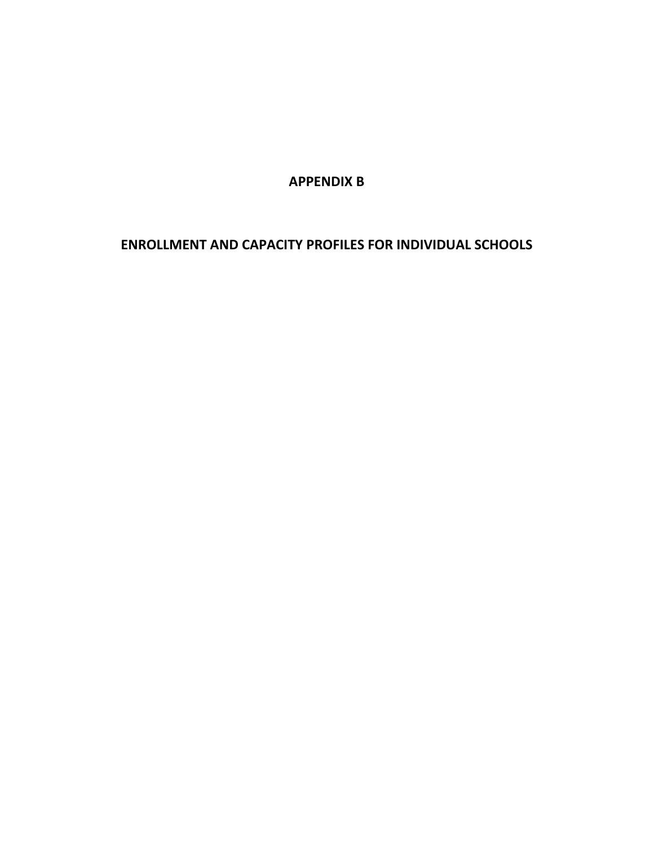**APPENDIX B**

**ENROLLMENT AND CAPACITY PROFILES FOR INDIVIDUAL SCHOOLS**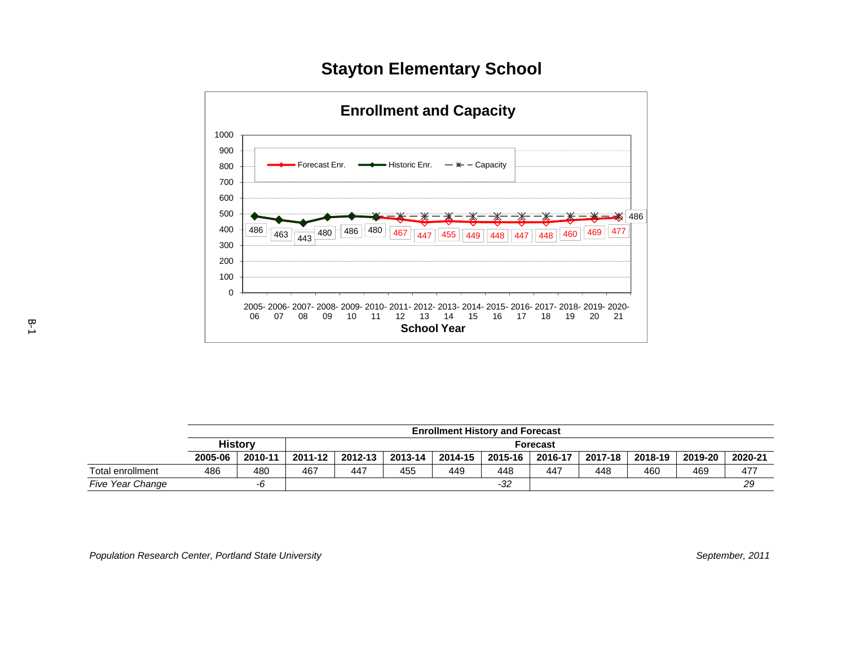# **Stayton Elementary School**



|                         |         |                |         |         |         | <b>Enrollment History and Forecast</b> |         |                 |         |         |         |         |
|-------------------------|---------|----------------|---------|---------|---------|----------------------------------------|---------|-----------------|---------|---------|---------|---------|
|                         |         | <b>History</b> |         |         |         |                                        |         | <b>Forecast</b> |         |         |         |         |
|                         | 2005-06 | 2010-11        | 2011-12 | 2012-13 | 2013-14 | 2014-15                                | 2015-16 | 2016-17         | 2017-18 | 2018-19 | 2019-20 | 2020-21 |
| Total enrollment        | 486     | 480            | 467     | 447     | 455     | 449                                    | 448     | 447             | 448     | 460     | 469     | 477     |
| <b>Five Year Change</b> |         | -0             |         |         |         |                                        | -32     |                 |         |         |         | 29      |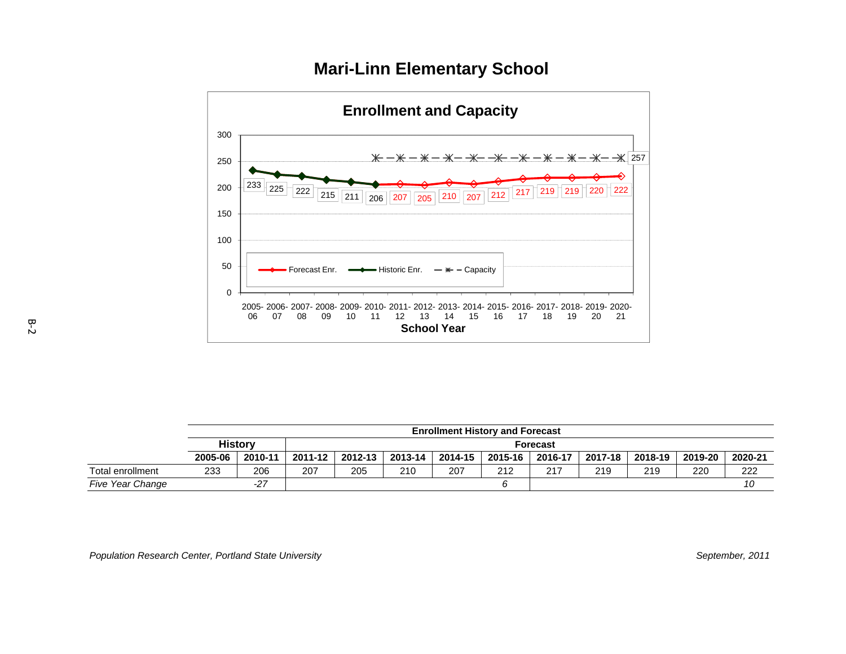



|                         |         |                |         |         |         | <b>Enrollment History and Forecast</b> |         |                 |         |         |         |         |
|-------------------------|---------|----------------|---------|---------|---------|----------------------------------------|---------|-----------------|---------|---------|---------|---------|
|                         |         | <b>History</b> |         |         |         |                                        |         | <b>Forecast</b> |         |         |         |         |
|                         | 2005-06 | 2010-11        | 2011-12 | 2012-13 | 2013-14 | 2014-15                                | 2015-16 | 2016-17         | 2017-18 | 2018-19 | 2019-20 | 2020-21 |
| Total enrollment        | 233     | 206            | 207     | 205     | 210     | 207                                    | 212     | 217             | 219     | 219     | 220     | 222     |
| <b>Five Year Change</b> |         | $-27$          |         |         |         |                                        |         |                 |         |         |         | 10      |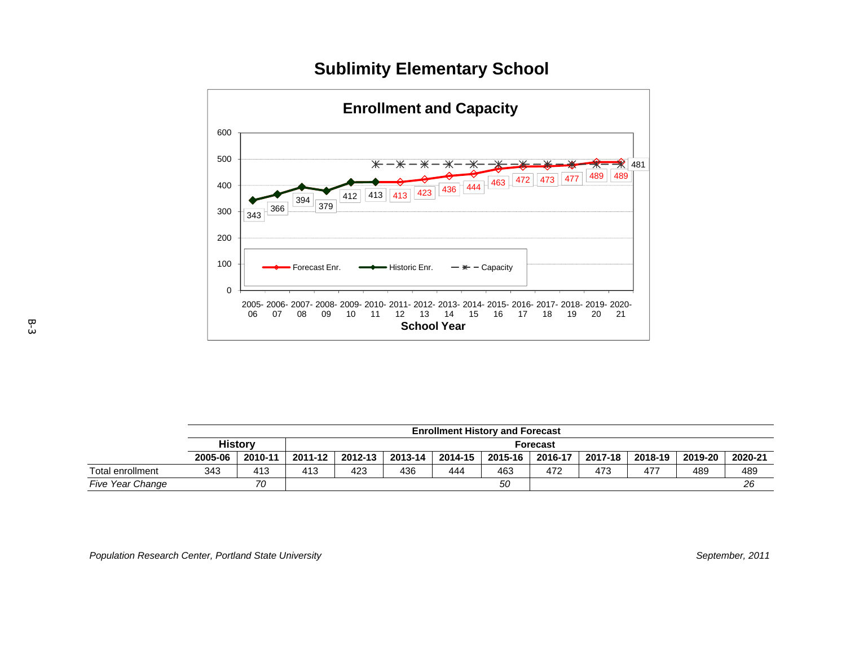# **Sublimity Elementary School**



|                         |         |                |         |         |         |         | <b>Enrollment History and Forecast</b> |                 |         |         |         |         |
|-------------------------|---------|----------------|---------|---------|---------|---------|----------------------------------------|-----------------|---------|---------|---------|---------|
|                         |         | <b>History</b> |         |         |         |         |                                        | <b>Forecast</b> |         |         |         |         |
|                         | 2005-06 | 2010-11        | 2011-12 | 2012-13 | 2013-14 | 2014-15 | 2015-16                                | 2016-17         | 2017-18 | 2018-19 | 2019-20 | 2020-21 |
| Total enrollment        | 343     | 413            | 413     | 423     | 436     | 444     | 463                                    | 472             | 473     | 477     | 489     | 489     |
| <b>Five Year Change</b> |         | 70             |         |         |         |         | 50                                     |                 |         |         |         | 26      |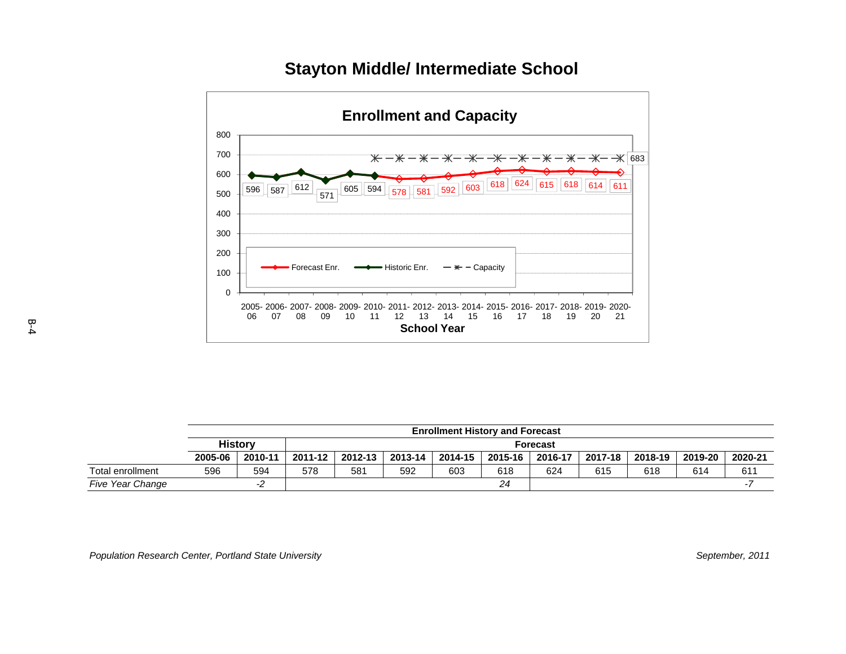



|                  |         |                |         |         |         | <b>Enrollment History and Forecast</b> |         |                 |         |         |         |         |
|------------------|---------|----------------|---------|---------|---------|----------------------------------------|---------|-----------------|---------|---------|---------|---------|
|                  |         | <b>History</b> |         |         |         |                                        |         | <b>Forecast</b> |         |         |         |         |
|                  | 2005-06 | 2010-11        | 2011-12 | 2012-13 | 2013-14 | 2014-15                                | 2015-16 | 2016-17         | 2017-18 | 2018-19 | 2019-20 | 2020-21 |
| Total enrollment | 596     | 594            | 578     | 581     | 592     | 603                                    | 618     | 624             | 615     | 618     | 614     | 611     |
| Five Year Change |         | -2             |         |         |         |                                        | 24      |                 |         |         |         |         |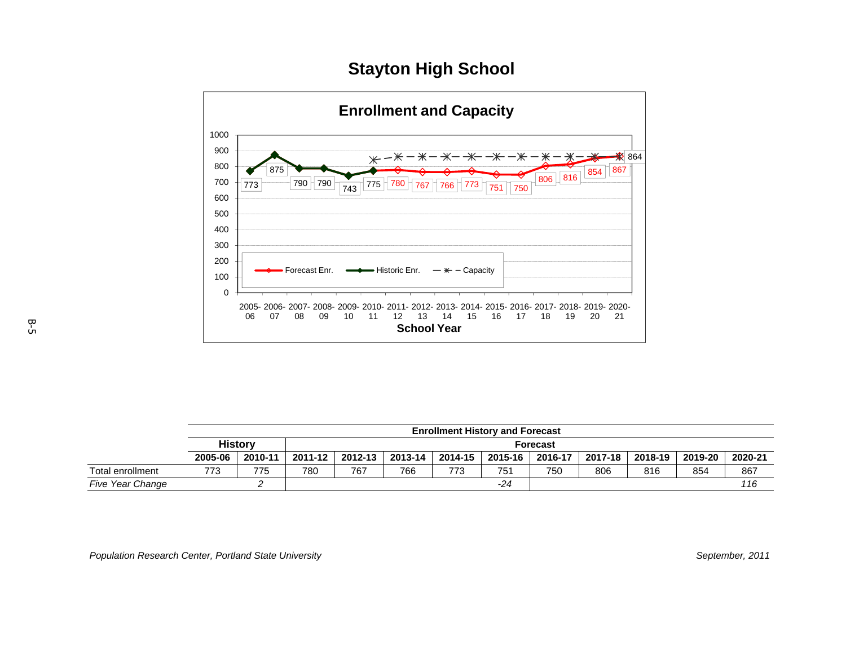# **Stayton High School**



|                         |         |                |         |         |         |         | <b>Enrollment History and Forecast</b> |                 |         |         |         |         |
|-------------------------|---------|----------------|---------|---------|---------|---------|----------------------------------------|-----------------|---------|---------|---------|---------|
|                         |         | <b>History</b> |         |         |         |         |                                        | <b>Forecast</b> |         |         |         |         |
|                         | 2005-06 | 2010-11        | 2011-12 | 2012-13 | 2013-14 | 2014-15 | 2015-16                                | 2016-17         | 2017-18 | 2018-19 | 2019-20 | 2020-21 |
| Total enrollment        | 773     | 775            | 780     | 767     | 766     | 773     | 751                                    | 750             | 806     | 816     | 854     | 867     |
| <b>Five Year Change</b> |         |                |         |         |         |         | $-24$                                  |                 |         |         |         | 116     |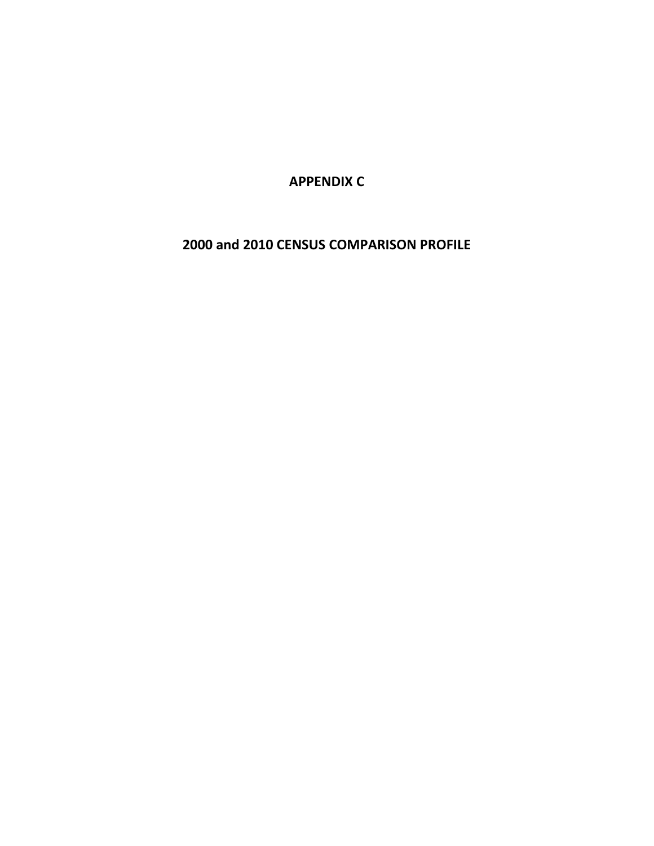**APPENDIX C**

**2000 and 2010 CENSUS COMPARISON PROFILE**